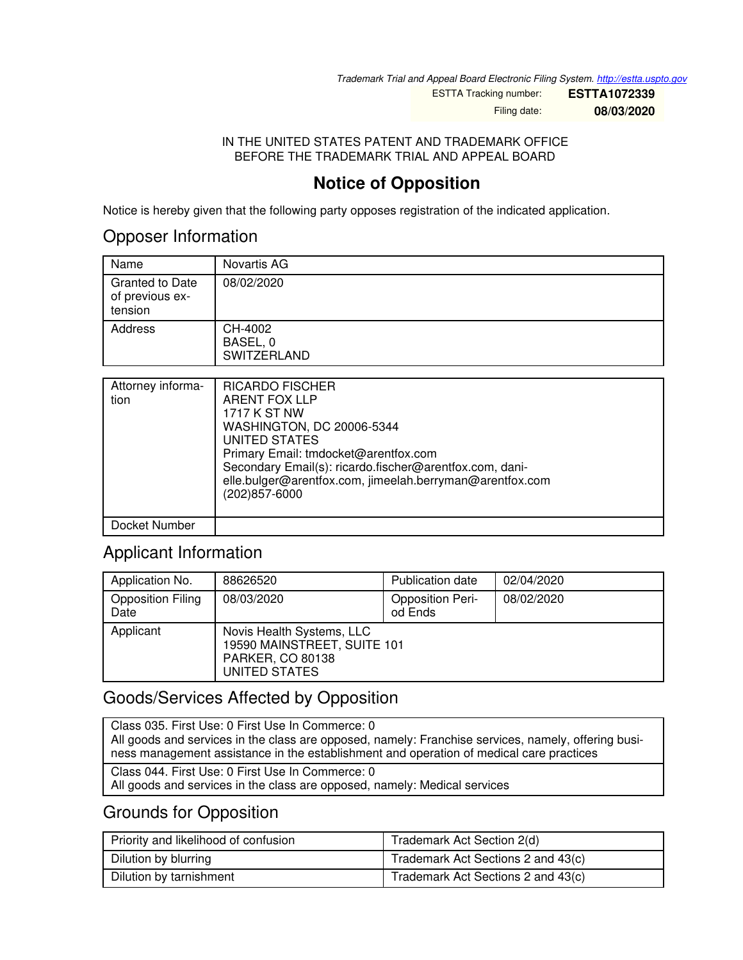*Trademark Trial and Appeal Board Electronic Filing System. <http://estta.uspto.gov>*

ESTTA Tracking number: **ESTTA1072339**

Filing date: **08/03/2020**

#### IN THE UNITED STATES PATENT AND TRADEMARK OFFICE BEFORE THE TRADEMARK TRIAL AND APPEAL BOARD

# **Notice of Opposition**

Notice is hereby given that the following party opposes registration of the indicated application.

### Opposer Information

| Name                                                 | Novartis AG                               |
|------------------------------------------------------|-------------------------------------------|
| <b>Granted to Date</b><br>of previous ex-<br>tension | 08/02/2020                                |
| Address                                              | CH-4002<br>BASEL, 0<br><b>SWITZERLAND</b> |

| Attorney informa-<br>tion | <b>RICARDO FISCHER</b><br><b>ARENT FOX LLP</b><br>1717 K ST NW<br>WASHINGTON, DC 20006-5344<br><b>UNITED STATES</b><br>Primary Email: tmdocket@arentfox.com<br>Secondary Email(s): ricardo.fischer@arentfox.com, dani-<br>elle.bulger@arentfox.com, jimeelah.berryman@arentfox.com<br>(202) 857-6000 |
|---------------------------|------------------------------------------------------------------------------------------------------------------------------------------------------------------------------------------------------------------------------------------------------------------------------------------------------|
| Docket Number             |                                                                                                                                                                                                                                                                                                      |

### Applicant Information

| Application No.                  | 88626520                                                                                      | <b>Publication date</b>            | 02/04/2020 |
|----------------------------------|-----------------------------------------------------------------------------------------------|------------------------------------|------------|
| <b>Opposition Filing</b><br>Date | 08/03/2020                                                                                    | <b>Opposition Peri-</b><br>od Ends | 08/02/2020 |
| Applicant                        | Novis Health Systems, LLC<br>19590 MAINSTREET, SUITE 101<br>PARKER, CO 80138<br>UNITED STATES |                                    |            |

### Goods/Services Affected by Opposition

Class 035. First Use: 0 First Use In Commerce: 0 All goods and services in the class are opposed, namely: Franchise services, namely, offering business management assistance in the establishment and operation of medical care practices Class 044. First Use: 0 First Use In Commerce: 0 All goods and services in the class are opposed, namely: Medical services

### Grounds for Opposition

| Priority and likelihood of confusion | Trademark Act Section 2(d)         |  |
|--------------------------------------|------------------------------------|--|
| Dilution by blurring                 | Trademark Act Sections 2 and 43(c) |  |
| Dilution by tarnishment              | Trademark Act Sections 2 and 43(c) |  |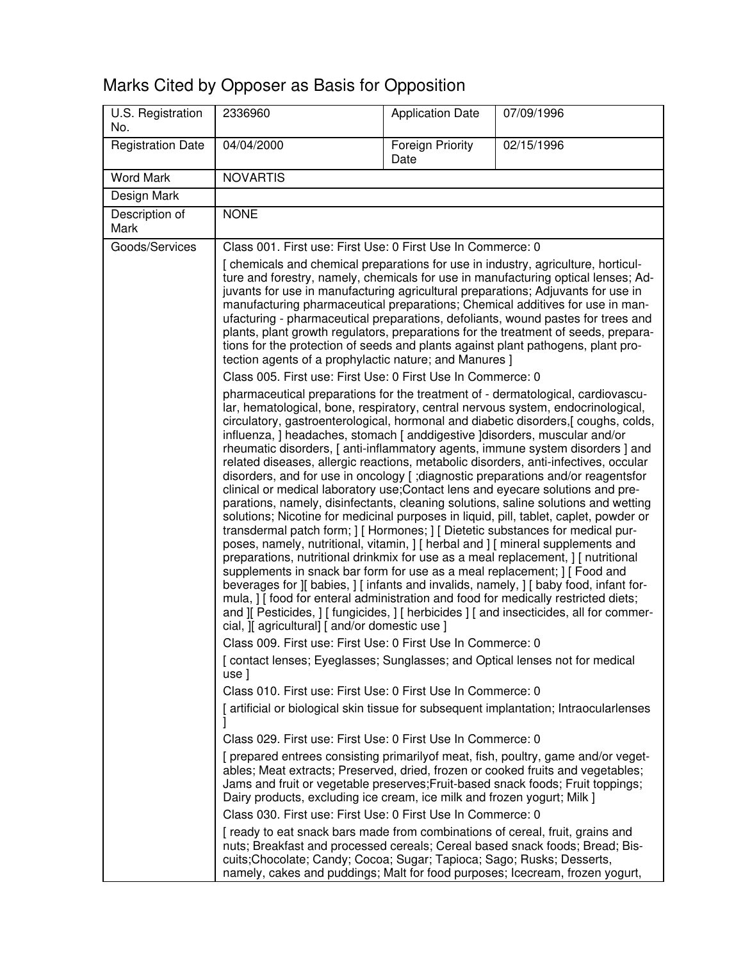# Marks Cited by Opposer as Basis for Opposition

| U.S. Registration<br>No. | 2336960                                                                                                                                                                                                                                                                                                                                                                                                                                                                                                                                                                                                                                                                                                                                                                                                                                                                                                                                                                                                                                                                                                                                                                                                                                                                                                                                                                                                                                                                                                                                                                                                                                                                                                                                                                                                                                                                                                                                                                                                                                                                                                                                                                                                                                                                                                                                         | <b>Application Date</b>         | 07/09/1996                                                                           |
|--------------------------|-------------------------------------------------------------------------------------------------------------------------------------------------------------------------------------------------------------------------------------------------------------------------------------------------------------------------------------------------------------------------------------------------------------------------------------------------------------------------------------------------------------------------------------------------------------------------------------------------------------------------------------------------------------------------------------------------------------------------------------------------------------------------------------------------------------------------------------------------------------------------------------------------------------------------------------------------------------------------------------------------------------------------------------------------------------------------------------------------------------------------------------------------------------------------------------------------------------------------------------------------------------------------------------------------------------------------------------------------------------------------------------------------------------------------------------------------------------------------------------------------------------------------------------------------------------------------------------------------------------------------------------------------------------------------------------------------------------------------------------------------------------------------------------------------------------------------------------------------------------------------------------------------------------------------------------------------------------------------------------------------------------------------------------------------------------------------------------------------------------------------------------------------------------------------------------------------------------------------------------------------------------------------------------------------------------------------------------------------|---------------------------------|--------------------------------------------------------------------------------------|
| <b>Registration Date</b> | 04/04/2000                                                                                                                                                                                                                                                                                                                                                                                                                                                                                                                                                                                                                                                                                                                                                                                                                                                                                                                                                                                                                                                                                                                                                                                                                                                                                                                                                                                                                                                                                                                                                                                                                                                                                                                                                                                                                                                                                                                                                                                                                                                                                                                                                                                                                                                                                                                                      | <b>Foreign Priority</b><br>Date | 02/15/1996                                                                           |
| <b>Word Mark</b>         | <b>NOVARTIS</b>                                                                                                                                                                                                                                                                                                                                                                                                                                                                                                                                                                                                                                                                                                                                                                                                                                                                                                                                                                                                                                                                                                                                                                                                                                                                                                                                                                                                                                                                                                                                                                                                                                                                                                                                                                                                                                                                                                                                                                                                                                                                                                                                                                                                                                                                                                                                 |                                 |                                                                                      |
| Design Mark              |                                                                                                                                                                                                                                                                                                                                                                                                                                                                                                                                                                                                                                                                                                                                                                                                                                                                                                                                                                                                                                                                                                                                                                                                                                                                                                                                                                                                                                                                                                                                                                                                                                                                                                                                                                                                                                                                                                                                                                                                                                                                                                                                                                                                                                                                                                                                                 |                                 |                                                                                      |
| Description of<br>Mark   | <b>NONE</b>                                                                                                                                                                                                                                                                                                                                                                                                                                                                                                                                                                                                                                                                                                                                                                                                                                                                                                                                                                                                                                                                                                                                                                                                                                                                                                                                                                                                                                                                                                                                                                                                                                                                                                                                                                                                                                                                                                                                                                                                                                                                                                                                                                                                                                                                                                                                     |                                 |                                                                                      |
| Goods/Services           | Class 001. First use: First Use: 0 First Use In Commerce: 0                                                                                                                                                                                                                                                                                                                                                                                                                                                                                                                                                                                                                                                                                                                                                                                                                                                                                                                                                                                                                                                                                                                                                                                                                                                                                                                                                                                                                                                                                                                                                                                                                                                                                                                                                                                                                                                                                                                                                                                                                                                                                                                                                                                                                                                                                     |                                 |                                                                                      |
|                          | [ chemicals and chemical preparations for use in industry, agriculture, horticul-<br>ture and forestry, namely, chemicals for use in manufacturing optical lenses; Ad-<br>juvants for use in manufacturing agricultural preparations; Adjuvants for use in<br>manufacturing pharmaceutical preparations; Chemical additives for use in man-<br>ufacturing - pharmaceutical preparations, defoliants, wound pastes for trees and<br>plants, plant growth regulators, preparations for the treatment of seeds, prepara-<br>tions for the protection of seeds and plants against plant pathogens, plant pro-<br>tection agents of a prophylactic nature; and Manures ]<br>Class 005. First use: First Use: 0 First Use In Commerce: 0<br>pharmaceutical preparations for the treatment of - dermatological, cardiovascu-<br>lar, hematological, bone, respiratory, central nervous system, endocrinological,<br>circulatory, gastroenterological, hormonal and diabetic disorders, [coughs, colds,<br>influenza, ] headaches, stomach [ anddigestive ] disorders, muscular and/or<br>rheumatic disorders, [ anti-inflammatory agents, immune system disorders ] and<br>related diseases, allergic reactions, metabolic disorders, anti-infectives, occular<br>disorders, and for use in oncology [ ; diagnostic preparations and/or reagentsfor<br>clinical or medical laboratory use; Contact lens and eyecare solutions and pre-<br>parations, namely, disinfectants, cleaning solutions, saline solutions and wetting<br>solutions; Nicotine for medicinal purposes in liquid, pill, tablet, caplet, powder or<br>transdermal patch form; ] [ Hormones; ] [ Dietetic substances for medical pur-<br>poses, namely, nutritional, vitamin, ] [ herbal and ] [ mineral supplements and<br>preparations, nutritional drinkmix for use as a meal replacement, ] [ nutritional<br>supplements in snack bar form for use as a meal replacement; I [ Food and<br>beverages for ][ babies, ] [ infants and invalids, namely, ] [ baby food, infant for-<br>mula, I [food for enteral administration and food for medically restricted diets;<br>and ][ Pesticides, ] [ fungicides, ] [ herbicides ] [ and insecticides, all for commer-<br>cial, ][ agricultural] [ and/or domestic use ]<br>Class 009. First use: First Use: 0 First Use In Commerce: 0 |                                 |                                                                                      |
|                          |                                                                                                                                                                                                                                                                                                                                                                                                                                                                                                                                                                                                                                                                                                                                                                                                                                                                                                                                                                                                                                                                                                                                                                                                                                                                                                                                                                                                                                                                                                                                                                                                                                                                                                                                                                                                                                                                                                                                                                                                                                                                                                                                                                                                                                                                                                                                                 |                                 | [contact lenses; Eyeglasses; Sunglasses; and Optical lenses not for medical          |
|                          | use]<br>Class 010. First use: First Use: 0 First Use In Commerce: 0                                                                                                                                                                                                                                                                                                                                                                                                                                                                                                                                                                                                                                                                                                                                                                                                                                                                                                                                                                                                                                                                                                                                                                                                                                                                                                                                                                                                                                                                                                                                                                                                                                                                                                                                                                                                                                                                                                                                                                                                                                                                                                                                                                                                                                                                             |                                 | [artificial or biological skin tissue for subsequent implantation; Intraocularlenses |
|                          | Class 029. First use: First Use: 0 First Use In Commerce: 0                                                                                                                                                                                                                                                                                                                                                                                                                                                                                                                                                                                                                                                                                                                                                                                                                                                                                                                                                                                                                                                                                                                                                                                                                                                                                                                                                                                                                                                                                                                                                                                                                                                                                                                                                                                                                                                                                                                                                                                                                                                                                                                                                                                                                                                                                     |                                 |                                                                                      |
|                          | [ prepared entrees consisting primarily of meat, fish, poultry, game and/or veget-<br>ables; Meat extracts; Preserved, dried, frozen or cooked fruits and vegetables;<br>Jams and fruit or vegetable preserves; Fruit-based snack foods; Fruit toppings;<br>Dairy products, excluding ice cream, ice milk and frozen yogurt; Milk ]                                                                                                                                                                                                                                                                                                                                                                                                                                                                                                                                                                                                                                                                                                                                                                                                                                                                                                                                                                                                                                                                                                                                                                                                                                                                                                                                                                                                                                                                                                                                                                                                                                                                                                                                                                                                                                                                                                                                                                                                             |                                 |                                                                                      |
|                          | Class 030. First use: First Use: 0 First Use In Commerce: 0<br>[ ready to eat snack bars made from combinations of cereal, fruit, grains and<br>nuts; Breakfast and processed cereals; Cereal based snack foods; Bread; Bis-<br>cuits; Chocolate; Candy; Cocoa; Sugar; Tapioca; Sago; Rusks; Desserts,<br>namely, cakes and puddings; Malt for food purposes; Icecream, frozen yogurt,                                                                                                                                                                                                                                                                                                                                                                                                                                                                                                                                                                                                                                                                                                                                                                                                                                                                                                                                                                                                                                                                                                                                                                                                                                                                                                                                                                                                                                                                                                                                                                                                                                                                                                                                                                                                                                                                                                                                                          |                                 |                                                                                      |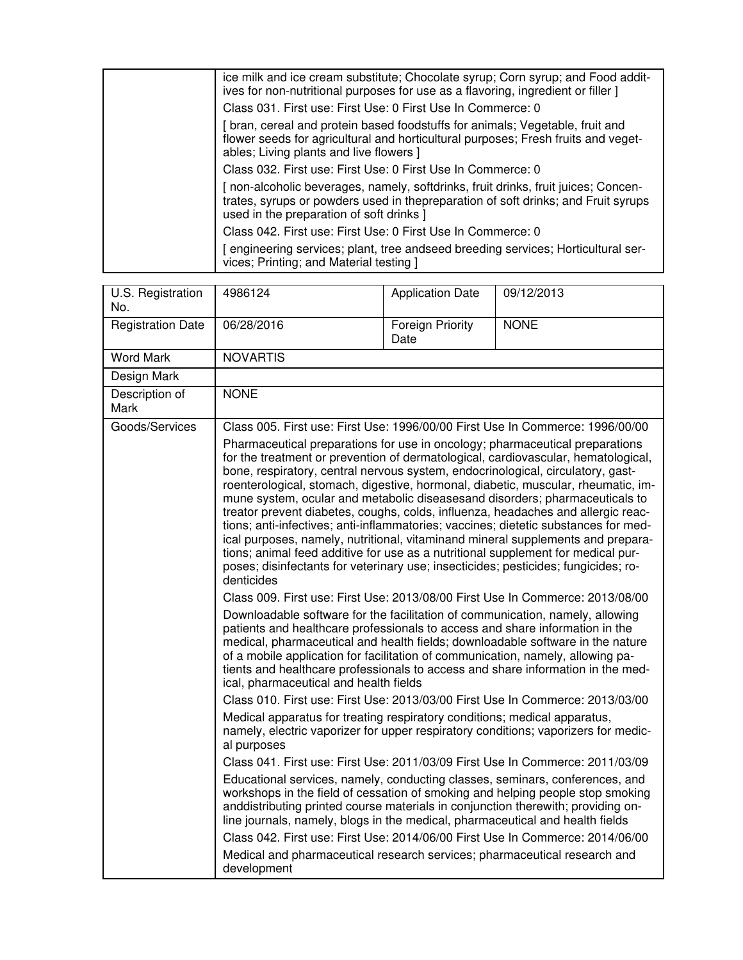| ice milk and ice cream substitute; Chocolate syrup; Corn syrup; and Food addit-<br>ives for non-nutritional purposes for use as a flavoring, ingredient or filler ]                                               |
|-------------------------------------------------------------------------------------------------------------------------------------------------------------------------------------------------------------------|
| Class 031. First use: First Use: 0 First Use In Commerce: 0                                                                                                                                                       |
| bran, cereal and protein based foodstuffs for animals; Vegetable, fruit and<br>flower seeds for agricultural and horticultural purposes; Fresh fruits and veget-<br>ables; Living plants and live flowers ]       |
| Class 032. First use: First Use: 0 First Use In Commerce: 0                                                                                                                                                       |
| non-alcoholic beverages, namely, softdrinks, fruit drinks, fruit juices; Concen-<br>trates, syrups or powders used in thepreparation of soft drinks; and Fruit syrups<br>used in the preparation of soft drinks ] |
| Class 042. First use: First Use: 0 First Use In Commerce: 0                                                                                                                                                       |
| engineering services; plant, tree andseed breeding services; Horticultural ser-<br>vices; Printing; and Material testing ]                                                                                        |

| U.S. Registration<br>No. | 4986124                                                                                                                                                                                                                                                                                                                                                                                                                                                                                                                                                                                                                                                                                                                                                                                                                                                                                                                                                                                                                                                                                                                                                                                                                                                                                                                                                                                                                                                                                                                                                                                                                                                                                                                                                                                                                                                                                                                                                                                                                                                                                                                                                                                                                                                                                                                                                                                     | <b>Application Date</b>         | 09/12/2013  |
|--------------------------|---------------------------------------------------------------------------------------------------------------------------------------------------------------------------------------------------------------------------------------------------------------------------------------------------------------------------------------------------------------------------------------------------------------------------------------------------------------------------------------------------------------------------------------------------------------------------------------------------------------------------------------------------------------------------------------------------------------------------------------------------------------------------------------------------------------------------------------------------------------------------------------------------------------------------------------------------------------------------------------------------------------------------------------------------------------------------------------------------------------------------------------------------------------------------------------------------------------------------------------------------------------------------------------------------------------------------------------------------------------------------------------------------------------------------------------------------------------------------------------------------------------------------------------------------------------------------------------------------------------------------------------------------------------------------------------------------------------------------------------------------------------------------------------------------------------------------------------------------------------------------------------------------------------------------------------------------------------------------------------------------------------------------------------------------------------------------------------------------------------------------------------------------------------------------------------------------------------------------------------------------------------------------------------------------------------------------------------------------------------------------------------------|---------------------------------|-------------|
| <b>Registration Date</b> | 06/28/2016                                                                                                                                                                                                                                                                                                                                                                                                                                                                                                                                                                                                                                                                                                                                                                                                                                                                                                                                                                                                                                                                                                                                                                                                                                                                                                                                                                                                                                                                                                                                                                                                                                                                                                                                                                                                                                                                                                                                                                                                                                                                                                                                                                                                                                                                                                                                                                                  | <b>Foreign Priority</b><br>Date | <b>NONE</b> |
| <b>Word Mark</b>         | <b>NOVARTIS</b>                                                                                                                                                                                                                                                                                                                                                                                                                                                                                                                                                                                                                                                                                                                                                                                                                                                                                                                                                                                                                                                                                                                                                                                                                                                                                                                                                                                                                                                                                                                                                                                                                                                                                                                                                                                                                                                                                                                                                                                                                                                                                                                                                                                                                                                                                                                                                                             |                                 |             |
| Design Mark              |                                                                                                                                                                                                                                                                                                                                                                                                                                                                                                                                                                                                                                                                                                                                                                                                                                                                                                                                                                                                                                                                                                                                                                                                                                                                                                                                                                                                                                                                                                                                                                                                                                                                                                                                                                                                                                                                                                                                                                                                                                                                                                                                                                                                                                                                                                                                                                                             |                                 |             |
| Description of<br>Mark   | <b>NONE</b>                                                                                                                                                                                                                                                                                                                                                                                                                                                                                                                                                                                                                                                                                                                                                                                                                                                                                                                                                                                                                                                                                                                                                                                                                                                                                                                                                                                                                                                                                                                                                                                                                                                                                                                                                                                                                                                                                                                                                                                                                                                                                                                                                                                                                                                                                                                                                                                 |                                 |             |
| Goods/Services           |                                                                                                                                                                                                                                                                                                                                                                                                                                                                                                                                                                                                                                                                                                                                                                                                                                                                                                                                                                                                                                                                                                                                                                                                                                                                                                                                                                                                                                                                                                                                                                                                                                                                                                                                                                                                                                                                                                                                                                                                                                                                                                                                                                                                                                                                                                                                                                                             |                                 |             |
|                          | Class 005. First use: First Use: 1996/00/00 First Use In Commerce: 1996/00/00<br>Pharmaceutical preparations for use in oncology; pharmaceutical preparations<br>for the treatment or prevention of dermatological, cardiovascular, hematological,<br>bone, respiratory, central nervous system, endocrinological, circulatory, gast-<br>roenterological, stomach, digestive, hormonal, diabetic, muscular, rheumatic, im-<br>mune system, ocular and metabolic diseasesand disorders; pharmaceuticals to<br>treator prevent diabetes, coughs, colds, influenza, headaches and allergic reac-<br>tions; anti-infectives; anti-inflammatories; vaccines; dietetic substances for med-<br>ical purposes, namely, nutritional, vitaminand mineral supplements and prepara-<br>tions; animal feed additive for use as a nutritional supplement for medical pur-<br>poses; disinfectants for veterinary use; insecticides; pesticides; fungicides; ro-<br>denticides<br>Class 009. First use: First Use: 2013/08/00 First Use In Commerce: 2013/08/00<br>Downloadable software for the facilitation of communication, namely, allowing<br>patients and healthcare professionals to access and share information in the<br>medical, pharmaceutical and health fields; downloadable software in the nature<br>of a mobile application for facilitation of communication, namely, allowing pa-<br>tients and healthcare professionals to access and share information in the med-<br>ical, pharmaceutical and health fields<br>Class 010. First use: First Use: 2013/03/00 First Use In Commerce: 2013/03/00<br>Medical apparatus for treating respiratory conditions; medical apparatus,<br>namely, electric vaporizer for upper respiratory conditions; vaporizers for medic-<br>al purposes<br>Class 041. First use: First Use: 2011/03/09 First Use In Commerce: 2011/03/09<br>Educational services, namely, conducting classes, seminars, conferences, and<br>workshops in the field of cessation of smoking and helping people stop smoking<br>anddistributing printed course materials in conjunction therewith; providing on-<br>line journals, namely, blogs in the medical, pharmaceutical and health fields<br>Class 042. First use: First Use: 2014/06/00 First Use In Commerce: 2014/06/00<br>Medical and pharmaceutical research services; pharmaceutical research and<br>development |                                 |             |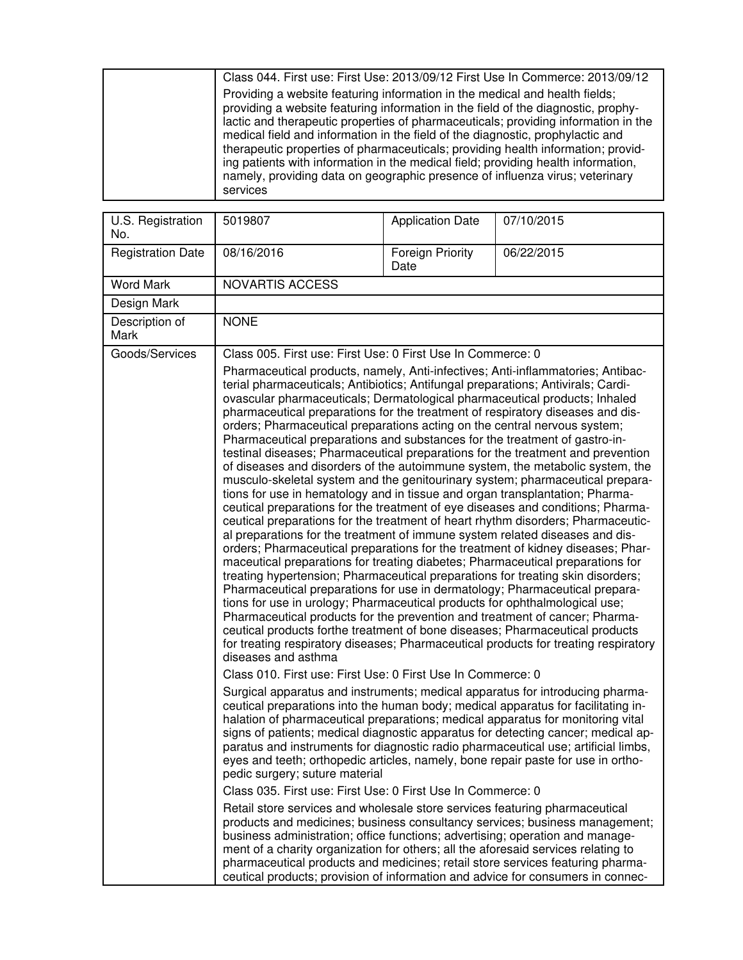| Class 044. First use: First Use: 2013/09/12 First Use In Commerce: 2013/09/12                                                                                                                                                                                                                                                                                                                                                                                                                                                                                                                                 |
|---------------------------------------------------------------------------------------------------------------------------------------------------------------------------------------------------------------------------------------------------------------------------------------------------------------------------------------------------------------------------------------------------------------------------------------------------------------------------------------------------------------------------------------------------------------------------------------------------------------|
| Providing a website featuring information in the medical and health fields;<br>providing a website featuring information in the field of the diagnostic, prophy-<br>lactic and therapeutic properties of pharmaceuticals; providing information in the<br>medical field and information in the field of the diagnostic, prophylactic and<br>therapeutic properties of pharmaceuticals; providing health information; provid-<br>ing patients with information in the medical field; providing health information,<br>namely, providing data on geographic presence of influenza virus; veterinary<br>services |

| U.S. Registration<br>No. | 5019807                                                                                                                                                                                                                                                                                                                                                                                                                                                                                                                                                                                                                                                                                                                                                                                                                                                                                                                                                                                                                                                                                                                                                                                                                                                                                                                                                                                                                                                                                                                                                                                                                                                                                                                                                                                                                                                                                                                     | <b>Application Date</b>  | 07/10/2015                                                                                                                                                                                                                                             |
|--------------------------|-----------------------------------------------------------------------------------------------------------------------------------------------------------------------------------------------------------------------------------------------------------------------------------------------------------------------------------------------------------------------------------------------------------------------------------------------------------------------------------------------------------------------------------------------------------------------------------------------------------------------------------------------------------------------------------------------------------------------------------------------------------------------------------------------------------------------------------------------------------------------------------------------------------------------------------------------------------------------------------------------------------------------------------------------------------------------------------------------------------------------------------------------------------------------------------------------------------------------------------------------------------------------------------------------------------------------------------------------------------------------------------------------------------------------------------------------------------------------------------------------------------------------------------------------------------------------------------------------------------------------------------------------------------------------------------------------------------------------------------------------------------------------------------------------------------------------------------------------------------------------------------------------------------------------------|--------------------------|--------------------------------------------------------------------------------------------------------------------------------------------------------------------------------------------------------------------------------------------------------|
| <b>Registration Date</b> | 08/16/2016                                                                                                                                                                                                                                                                                                                                                                                                                                                                                                                                                                                                                                                                                                                                                                                                                                                                                                                                                                                                                                                                                                                                                                                                                                                                                                                                                                                                                                                                                                                                                                                                                                                                                                                                                                                                                                                                                                                  | Foreign Priority<br>Date | 06/22/2015                                                                                                                                                                                                                                             |
| <b>Word Mark</b>         | <b>NOVARTIS ACCESS</b>                                                                                                                                                                                                                                                                                                                                                                                                                                                                                                                                                                                                                                                                                                                                                                                                                                                                                                                                                                                                                                                                                                                                                                                                                                                                                                                                                                                                                                                                                                                                                                                                                                                                                                                                                                                                                                                                                                      |                          |                                                                                                                                                                                                                                                        |
| Design Mark              |                                                                                                                                                                                                                                                                                                                                                                                                                                                                                                                                                                                                                                                                                                                                                                                                                                                                                                                                                                                                                                                                                                                                                                                                                                                                                                                                                                                                                                                                                                                                                                                                                                                                                                                                                                                                                                                                                                                             |                          |                                                                                                                                                                                                                                                        |
| Description of<br>Mark   | <b>NONE</b>                                                                                                                                                                                                                                                                                                                                                                                                                                                                                                                                                                                                                                                                                                                                                                                                                                                                                                                                                                                                                                                                                                                                                                                                                                                                                                                                                                                                                                                                                                                                                                                                                                                                                                                                                                                                                                                                                                                 |                          |                                                                                                                                                                                                                                                        |
| Goods/Services           |                                                                                                                                                                                                                                                                                                                                                                                                                                                                                                                                                                                                                                                                                                                                                                                                                                                                                                                                                                                                                                                                                                                                                                                                                                                                                                                                                                                                                                                                                                                                                                                                                                                                                                                                                                                                                                                                                                                             |                          |                                                                                                                                                                                                                                                        |
|                          | Class 005. First use: First Use: 0 First Use In Commerce: 0<br>Pharmaceutical products, namely, Anti-infectives; Anti-inflammatories; Antibac-<br>terial pharmaceuticals; Antibiotics; Antifungal preparations; Antivirals; Cardi-<br>ovascular pharmaceuticals; Dermatological pharmaceutical products; Inhaled<br>pharmaceutical preparations for the treatment of respiratory diseases and dis-<br>orders; Pharmaceutical preparations acting on the central nervous system;<br>Pharmaceutical preparations and substances for the treatment of gastro-in-<br>testinal diseases; Pharmaceutical preparations for the treatment and prevention<br>of diseases and disorders of the autoimmune system, the metabolic system, the<br>musculo-skeletal system and the genitourinary system; pharmaceutical prepara-<br>tions for use in hematology and in tissue and organ transplantation; Pharma-<br>ceutical preparations for the treatment of eye diseases and conditions; Pharma-<br>ceutical preparations for the treatment of heart rhythm disorders; Pharmaceutic-<br>al preparations for the treatment of immune system related diseases and dis-<br>orders; Pharmaceutical preparations for the treatment of kidney diseases; Phar-<br>maceutical preparations for treating diabetes; Pharmaceutical preparations for<br>treating hypertension; Pharmaceutical preparations for treating skin disorders;<br>Pharmaceutical preparations for use in dermatology; Pharmaceutical prepara-<br>tions for use in urology; Pharmaceutical products for ophthalmological use;<br>Pharmaceutical products for the prevention and treatment of cancer; Pharma-<br>ceutical products forthe treatment of bone diseases; Pharmaceutical products<br>for treating respiratory diseases; Pharmaceutical products for treating respiratory<br>diseases and asthma<br>Class 010. First use: First Use: 0 First Use In Commerce: 0 |                          |                                                                                                                                                                                                                                                        |
|                          | Surgical apparatus and instruments; medical apparatus for introducing pharma-<br>ceutical preparations into the human body; medical apparatus for facilitating in-<br>halation of pharmaceutical preparations; medical apparatus for monitoring vital<br>eyes and teeth; orthopedic articles, namely, bone repair paste for use in ortho-<br>pedic surgery; suture material<br>Class 035. First use: First Use: 0 First Use In Commerce: 0<br>Retail store services and wholesale store services featuring pharmaceutical<br>business administration; office functions; advertising; operation and manage-<br>ment of a charity organization for others; all the aforesaid services relating to<br>pharmaceutical products and medicines; retail store services featuring pharma-                                                                                                                                                                                                                                                                                                                                                                                                                                                                                                                                                                                                                                                                                                                                                                                                                                                                                                                                                                                                                                                                                                                                           |                          | signs of patients; medical diagnostic apparatus for detecting cancer; medical ap-<br>paratus and instruments for diagnostic radio pharmaceutical use; artificial limbs,<br>products and medicines; business consultancy services; business management; |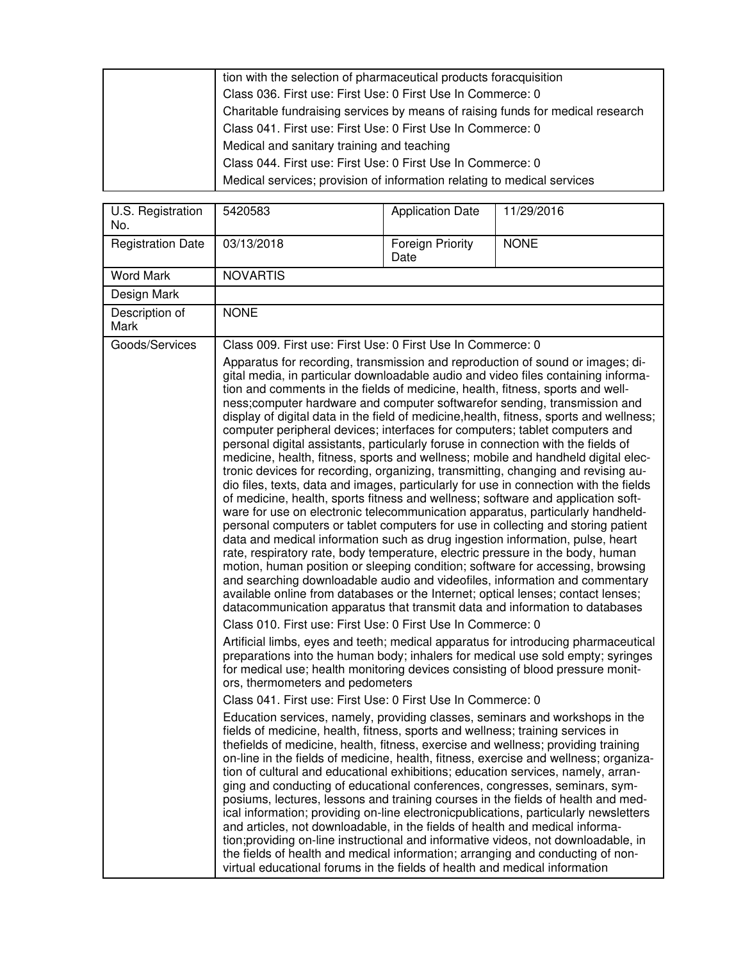| tion with the selection of pharmaceutical products for acquisition             |
|--------------------------------------------------------------------------------|
| Class 036. First use: First Use: 0 First Use In Commerce: 0                    |
| Charitable fundraising services by means of raising funds for medical research |
| Class 041. First use: First Use: 0 First Use In Commerce: 0                    |
| Medical and sanitary training and teaching                                     |
| Class 044. First use: First Use: 0 First Use In Commerce: 0                    |
| Medical services; provision of information relating to medical services        |

| U.S. Registration<br>No. | 5420583                                                                                                                                                                                                                                                                                                                                                                                                                                                                                                                                                                                                                                                                                                                                                                                                                                                                                                                                                                                                                                                                                                                                                                                                                                                                                                                                                                                                                                                                                                                                                                                                                                | <b>Application Date</b>         | 11/29/2016                                                                                                                                                                                                                                                                                                                                                                                                                                                                                                                      |
|--------------------------|----------------------------------------------------------------------------------------------------------------------------------------------------------------------------------------------------------------------------------------------------------------------------------------------------------------------------------------------------------------------------------------------------------------------------------------------------------------------------------------------------------------------------------------------------------------------------------------------------------------------------------------------------------------------------------------------------------------------------------------------------------------------------------------------------------------------------------------------------------------------------------------------------------------------------------------------------------------------------------------------------------------------------------------------------------------------------------------------------------------------------------------------------------------------------------------------------------------------------------------------------------------------------------------------------------------------------------------------------------------------------------------------------------------------------------------------------------------------------------------------------------------------------------------------------------------------------------------------------------------------------------------|---------------------------------|---------------------------------------------------------------------------------------------------------------------------------------------------------------------------------------------------------------------------------------------------------------------------------------------------------------------------------------------------------------------------------------------------------------------------------------------------------------------------------------------------------------------------------|
| <b>Registration Date</b> | 03/13/2018                                                                                                                                                                                                                                                                                                                                                                                                                                                                                                                                                                                                                                                                                                                                                                                                                                                                                                                                                                                                                                                                                                                                                                                                                                                                                                                                                                                                                                                                                                                                                                                                                             | <b>Foreign Priority</b><br>Date | <b>NONE</b>                                                                                                                                                                                                                                                                                                                                                                                                                                                                                                                     |
| <b>Word Mark</b>         | <b>NOVARTIS</b>                                                                                                                                                                                                                                                                                                                                                                                                                                                                                                                                                                                                                                                                                                                                                                                                                                                                                                                                                                                                                                                                                                                                                                                                                                                                                                                                                                                                                                                                                                                                                                                                                        |                                 |                                                                                                                                                                                                                                                                                                                                                                                                                                                                                                                                 |
| Design Mark              |                                                                                                                                                                                                                                                                                                                                                                                                                                                                                                                                                                                                                                                                                                                                                                                                                                                                                                                                                                                                                                                                                                                                                                                                                                                                                                                                                                                                                                                                                                                                                                                                                                        |                                 |                                                                                                                                                                                                                                                                                                                                                                                                                                                                                                                                 |
| Description of<br>Mark   | <b>NONE</b>                                                                                                                                                                                                                                                                                                                                                                                                                                                                                                                                                                                                                                                                                                                                                                                                                                                                                                                                                                                                                                                                                                                                                                                                                                                                                                                                                                                                                                                                                                                                                                                                                            |                                 |                                                                                                                                                                                                                                                                                                                                                                                                                                                                                                                                 |
| Goods/Services           | Class 009. First use: First Use: 0 First Use In Commerce: 0                                                                                                                                                                                                                                                                                                                                                                                                                                                                                                                                                                                                                                                                                                                                                                                                                                                                                                                                                                                                                                                                                                                                                                                                                                                                                                                                                                                                                                                                                                                                                                            |                                 |                                                                                                                                                                                                                                                                                                                                                                                                                                                                                                                                 |
|                          | Apparatus for recording, transmission and reproduction of sound or images; di-<br>gital media, in particular downloadable audio and video files containing informa-<br>tion and comments in the fields of medicine, health, fitness, sports and well-<br>ness; computer hardware and computer softwarefor sending, transmission and<br>display of digital data in the field of medicine, health, fitness, sports and wellness;<br>computer peripheral devices; interfaces for computers; tablet computers and<br>personal digital assistants, particularly foruse in connection with the fields of<br>medicine, health, fitness, sports and wellness; mobile and handheld digital elec-<br>tronic devices for recording, organizing, transmitting, changing and revising au-<br>dio files, texts, data and images, particularly for use in connection with the fields<br>of medicine, health, sports fitness and wellness; software and application soft-<br>ware for use on electronic telecommunication apparatus, particularly handheld-<br>personal computers or tablet computers for use in collecting and storing patient<br>data and medical information such as drug ingestion information, pulse, heart<br>rate, respiratory rate, body temperature, electric pressure in the body, human<br>motion, human position or sleeping condition; software for accessing, browsing<br>and searching downloadable audio and videofiles, information and commentary<br>available online from databases or the Internet; optical lenses; contact lenses;<br>datacommunication apparatus that transmit data and information to databases |                                 |                                                                                                                                                                                                                                                                                                                                                                                                                                                                                                                                 |
|                          | Class 010. First use: First Use: 0 First Use In Commerce: 0<br>for medical use; health monitoring devices consisting of blood pressure monit-<br>ors, thermometers and pedometers<br>Class 041. First use: First Use: 0 First Use In Commerce: 0<br>Education services, namely, providing classes, seminars and workshops in the<br>fields of medicine, health, fitness, sports and wellness; training services in<br>thefields of medicine, health, fitness, exercise and wellness; providing training<br>tion of cultural and educational exhibitions; education services, namely, arran-<br>ging and conducting of educational conferences, congresses, seminars, sym-<br>and articles, not downloadable, in the fields of health and medical informa-<br>the fields of health and medical information; arranging and conducting of non-<br>virtual educational forums in the fields of health and medical information                                                                                                                                                                                                                                                                                                                                                                                                                                                                                                                                                                                                                                                                                                              |                                 | Artificial limbs, eyes and teeth; medical apparatus for introducing pharmaceutical<br>preparations into the human body; inhalers for medical use sold empty; syringes<br>on-line in the fields of medicine, health, fitness, exercise and wellness; organiza-<br>posiums, lectures, lessons and training courses in the fields of health and med-<br>ical information; providing on-line electronicpublications, particularly newsletters<br>tion; providing on-line instructional and informative videos, not downloadable, in |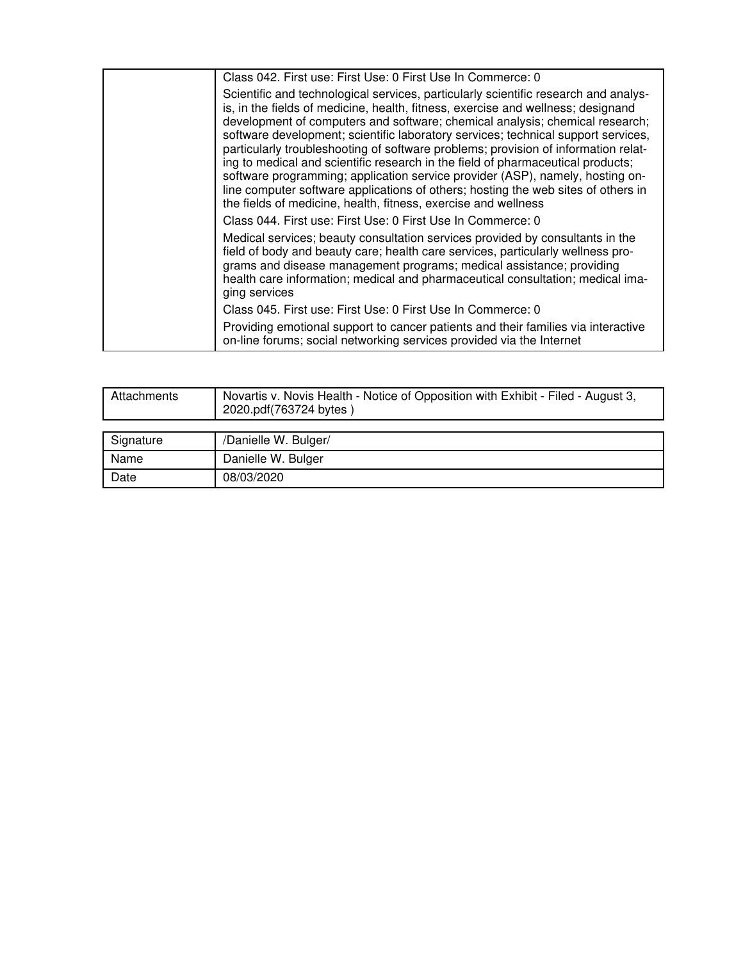| Class 042. First use: First Use: 0 First Use In Commerce: 0                                                                                                                                                                                                                                                                                                                                                                                                                                                                                                                                                                                                                                                                                                   |
|---------------------------------------------------------------------------------------------------------------------------------------------------------------------------------------------------------------------------------------------------------------------------------------------------------------------------------------------------------------------------------------------------------------------------------------------------------------------------------------------------------------------------------------------------------------------------------------------------------------------------------------------------------------------------------------------------------------------------------------------------------------|
| Scientific and technological services, particularly scientific research and analys-<br>is, in the fields of medicine, health, fitness, exercise and wellness; designand<br>development of computers and software; chemical analysis; chemical research;<br>software development; scientific laboratory services; technical support services,<br>particularly troubleshooting of software problems; provision of information relat-<br>ing to medical and scientific research in the field of pharmaceutical products;<br>software programming; application service provider (ASP), namely, hosting on-<br>line computer software applications of others; hosting the web sites of others in<br>the fields of medicine, health, fitness, exercise and wellness |
| Class 044. First use: First Use: 0 First Use In Commerce: 0                                                                                                                                                                                                                                                                                                                                                                                                                                                                                                                                                                                                                                                                                                   |
| Medical services; beauty consultation services provided by consultants in the<br>field of body and beauty care; health care services, particularly wellness pro-<br>grams and disease management programs; medical assistance; providing<br>health care information; medical and pharmaceutical consultation; medical ima-<br>ging services                                                                                                                                                                                                                                                                                                                                                                                                                   |
| Class 045. First use: First Use: 0 First Use In Commerce: 0                                                                                                                                                                                                                                                                                                                                                                                                                                                                                                                                                                                                                                                                                                   |
| Providing emotional support to cancer patients and their families via interactive<br>on-line forums; social networking services provided via the Internet                                                                                                                                                                                                                                                                                                                                                                                                                                                                                                                                                                                                     |

| Attachments | Novartis v. Novis Health - Notice of Opposition with Exhibit - Filed - August 3,<br>2020.pdf(763724 bytes) |
|-------------|------------------------------------------------------------------------------------------------------------|
|             |                                                                                                            |
| Signature   | /Danielle W. Bulger/                                                                                       |
| Name        | Danielle W. Bulger                                                                                         |
| Date        | 08/03/2020                                                                                                 |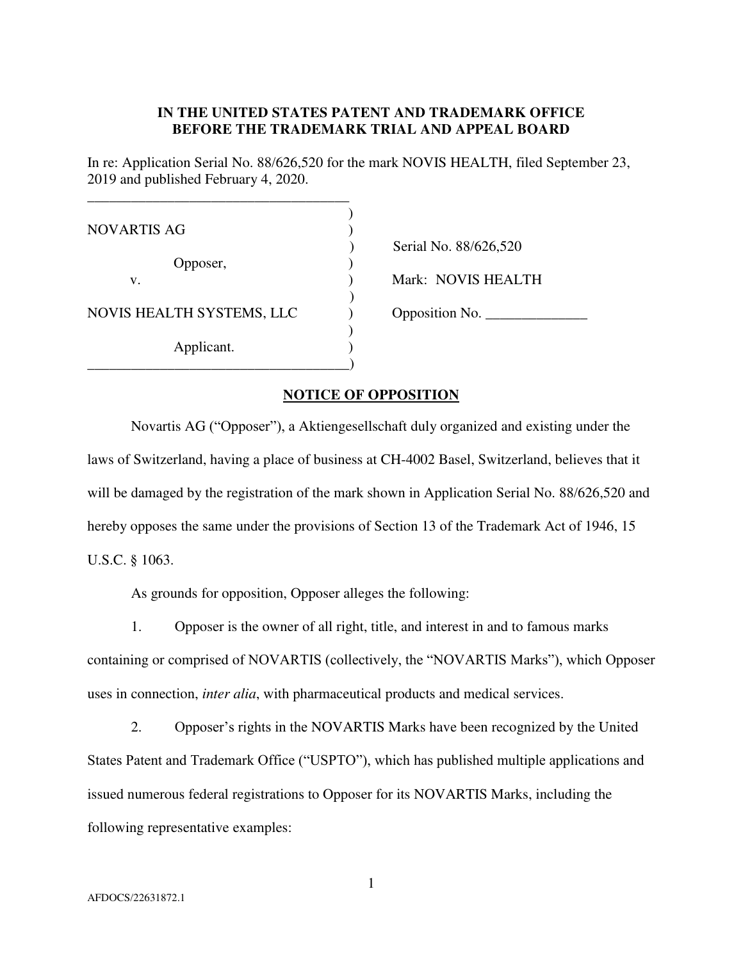#### **IN THE UNITED STATES PATENT AND TRADEMARK OFFICE BEFORE THE TRADEMARK TRIAL AND APPEAL BOARD**

In re: Application Serial No. 88/626,520 for the mark NOVIS HEALTH, filed September 23, 2019 and published February 4, 2020.

| <b>NOVARTIS AG</b>        |     |
|---------------------------|-----|
|                           | Ser |
| Opposer,                  |     |
| V.                        | Mai |
|                           |     |
| NOVIS HEALTH SYSTEMS, LLC |     |
|                           |     |
| Applicant.                |     |
|                           |     |

ial No. 88/626,520 rk: NOVIS HEALTH NOVIS HEALTH SYSTEMS, LLC ) Opposition No. \_\_\_\_\_\_\_\_\_\_\_\_\_\_

#### **NOTICE OF OPPOSITION**

Novartis AG ("Opposer"), a Aktiengesellschaft duly organized and existing under the laws of Switzerland, having a place of business at CH-4002 Basel, Switzerland, believes that it will be damaged by the registration of the mark shown in Application Serial No. 88/626,520 and hereby opposes the same under the provisions of Section 13 of the Trademark Act of 1946, 15 U.S.C. § 1063.

As grounds for opposition, Opposer alleges the following:

1. Opposer is the owner of all right, title, and interest in and to famous marks containing or comprised of NOVARTIS (collectively, the "NOVARTIS Marks"), which Opposer uses in connection, *inter alia*, with pharmaceutical products and medical services.

2. Opposer's rights in the NOVARTIS Marks have been recognized by the United States Patent and Trademark Office ("USPTO"), which has published multiple applications and issued numerous federal registrations to Opposer for its NOVARTIS Marks, including the following representative examples: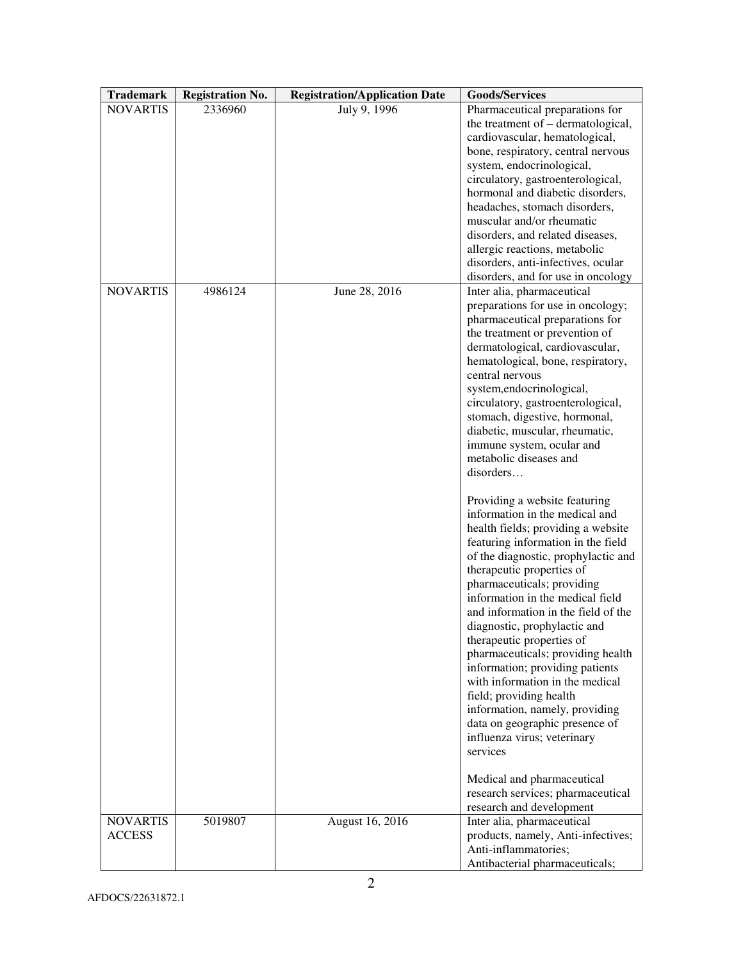| <b>Trademark</b> | <b>Registration No.</b> | <b>Registration/Application Date</b> | <b>Goods/Services</b>                                                    |  |
|------------------|-------------------------|--------------------------------------|--------------------------------------------------------------------------|--|
| <b>NOVARTIS</b>  | 2336960                 | July 9, 1996                         | Pharmaceutical preparations for                                          |  |
|                  |                         |                                      | the treatment of $-$ dermatological,                                     |  |
|                  |                         |                                      | cardiovascular, hematological,                                           |  |
|                  |                         |                                      | bone, respiratory, central nervous                                       |  |
|                  |                         |                                      | system, endocrinological,                                                |  |
|                  |                         |                                      | circulatory, gastroenterological,                                        |  |
|                  |                         |                                      | hormonal and diabetic disorders,                                         |  |
|                  |                         |                                      | headaches, stomach disorders,<br>muscular and/or rheumatic               |  |
|                  |                         |                                      | disorders, and related diseases,                                         |  |
|                  |                         |                                      | allergic reactions, metabolic                                            |  |
|                  |                         |                                      | disorders, anti-infectives, ocular                                       |  |
|                  |                         |                                      | disorders, and for use in oncology                                       |  |
| <b>NOVARTIS</b>  | 4986124                 | June 28, 2016                        | Inter alia, pharmaceutical                                               |  |
|                  |                         |                                      | preparations for use in oncology;                                        |  |
|                  |                         |                                      | pharmaceutical preparations for                                          |  |
|                  |                         |                                      | the treatment or prevention of                                           |  |
|                  |                         |                                      | dermatological, cardiovascular,                                          |  |
|                  |                         |                                      | hematological, bone, respiratory,                                        |  |
|                  |                         |                                      | central nervous<br>system,endocrinological,                              |  |
|                  |                         |                                      | circulatory, gastroenterological,                                        |  |
|                  |                         |                                      | stomach, digestive, hormonal,                                            |  |
|                  |                         |                                      | diabetic, muscular, rheumatic,                                           |  |
|                  |                         |                                      | immune system, ocular and                                                |  |
|                  |                         |                                      | metabolic diseases and                                                   |  |
|                  |                         |                                      | disorders                                                                |  |
|                  |                         |                                      |                                                                          |  |
|                  |                         |                                      | Providing a website featuring                                            |  |
|                  |                         |                                      | information in the medical and                                           |  |
|                  |                         |                                      | health fields; providing a website<br>featuring information in the field |  |
|                  |                         |                                      | of the diagnostic, prophylactic and                                      |  |
|                  |                         |                                      | therapeutic properties of                                                |  |
|                  |                         |                                      | pharmaceuticals; providing                                               |  |
|                  |                         |                                      | information in the medical field                                         |  |
|                  |                         |                                      | and information in the field of the                                      |  |
|                  |                         |                                      | diagnostic, prophylactic and                                             |  |
|                  |                         |                                      | therapeutic properties of                                                |  |
|                  |                         |                                      | pharmaceuticals; providing health                                        |  |
|                  |                         |                                      | information; providing patients                                          |  |
|                  |                         |                                      | with information in the medical                                          |  |
|                  |                         |                                      | field; providing health                                                  |  |
|                  |                         |                                      | information, namely, providing<br>data on geographic presence of         |  |
|                  |                         |                                      | influenza virus; veterinary                                              |  |
|                  |                         |                                      | services                                                                 |  |
|                  |                         |                                      |                                                                          |  |
|                  |                         |                                      | Medical and pharmaceutical                                               |  |
|                  |                         |                                      | research services; pharmaceutical                                        |  |
|                  |                         |                                      | research and development                                                 |  |
| <b>NOVARTIS</b>  | 5019807                 | August 16, 2016                      | Inter alia, pharmaceutical                                               |  |
| <b>ACCESS</b>    |                         |                                      | products, namely, Anti-infectives;                                       |  |
|                  |                         |                                      | Anti-inflammatories;                                                     |  |
|                  |                         |                                      | Antibacterial pharmaceuticals;                                           |  |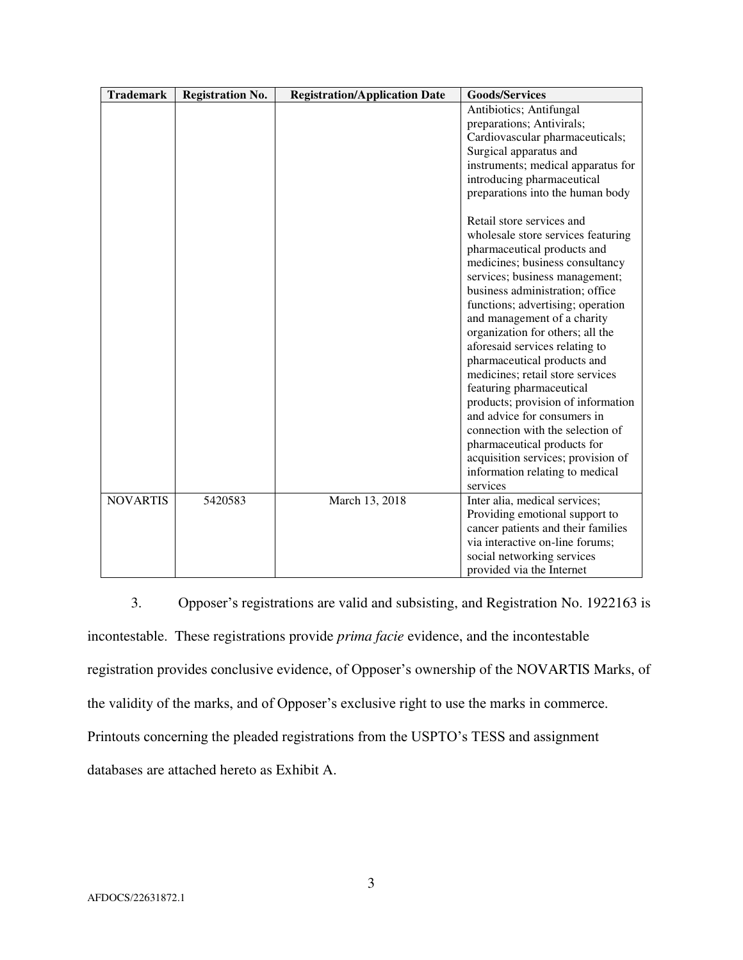| <b>Trademark</b> | <b>Registration No.</b> | <b>Registration/Application Date</b> | <b>Goods/Services</b>                                                 |
|------------------|-------------------------|--------------------------------------|-----------------------------------------------------------------------|
|                  |                         |                                      | Antibiotics; Antifungal                                               |
|                  |                         |                                      | preparations; Antivirals;                                             |
|                  |                         |                                      | Cardiovascular pharmaceuticals;                                       |
|                  |                         |                                      | Surgical apparatus and                                                |
|                  |                         |                                      | instruments; medical apparatus for                                    |
|                  |                         |                                      | introducing pharmaceutical                                            |
|                  |                         |                                      | preparations into the human body                                      |
|                  |                         |                                      | Retail store services and                                             |
|                  |                         |                                      | wholesale store services featuring                                    |
|                  |                         |                                      | pharmaceutical products and                                           |
|                  |                         |                                      | medicines; business consultancy                                       |
|                  |                         |                                      | services; business management;                                        |
|                  |                         |                                      | business administration; office                                       |
|                  |                         |                                      | functions; advertising; operation                                     |
|                  |                         |                                      | and management of a charity                                           |
|                  |                         |                                      | organization for others; all the                                      |
|                  |                         |                                      | aforesaid services relating to                                        |
|                  |                         |                                      | pharmaceutical products and                                           |
|                  |                         |                                      | medicines; retail store services                                      |
|                  |                         |                                      | featuring pharmaceutical                                              |
|                  |                         |                                      | products; provision of information<br>and advice for consumers in     |
|                  |                         |                                      | connection with the selection of                                      |
|                  |                         |                                      |                                                                       |
|                  |                         |                                      | pharmaceutical products for                                           |
|                  |                         |                                      | acquisition services; provision of<br>information relating to medical |
|                  |                         |                                      | services                                                              |
| <b>NOVARTIS</b>  | 5420583                 | March 13, 2018                       | Inter alia, medical services;                                         |
|                  |                         |                                      | Providing emotional support to                                        |
|                  |                         |                                      | cancer patients and their families                                    |
|                  |                         |                                      | via interactive on-line forums;                                       |
|                  |                         |                                      | social networking services                                            |
|                  |                         |                                      | provided via the Internet                                             |

3. Opposer's registrations are valid and subsisting, and Registration No. 1922163 is incontestable. These registrations provide *prima facie* evidence, and the incontestable registration provides conclusive evidence, of Opposer's ownership of the NOVARTIS Marks, of the validity of the marks, and of Opposer's exclusive right to use the marks in commerce. Printouts concerning the pleaded registrations from the USPTO's TESS and assignment databases are attached hereto as Exhibit A.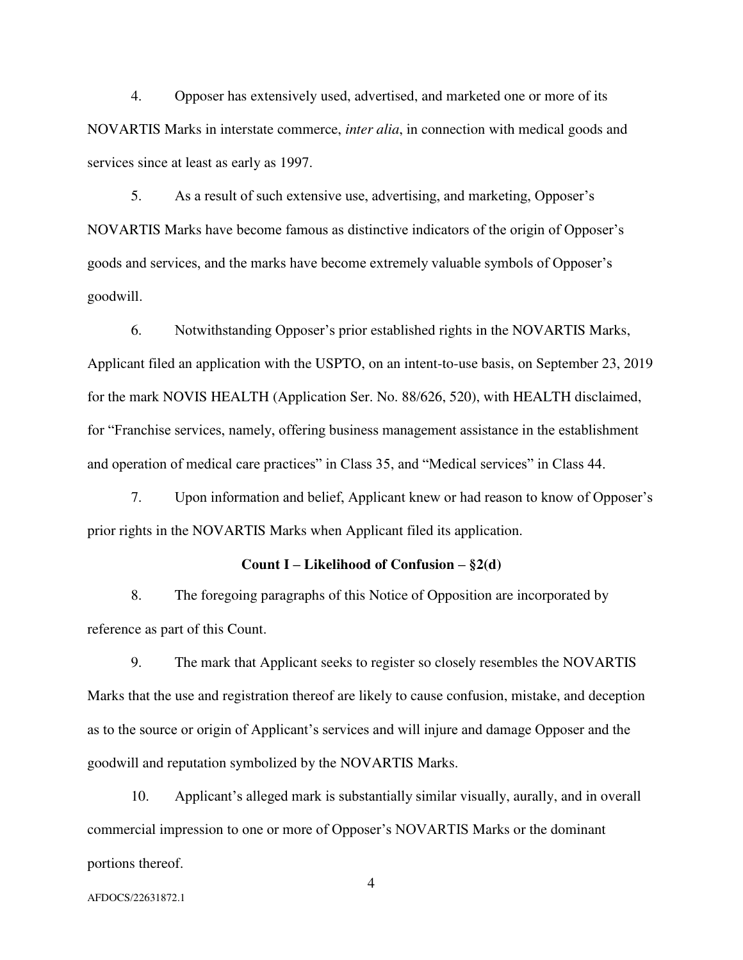4. Opposer has extensively used, advertised, and marketed one or more of its NOVARTIS Marks in interstate commerce, *inter alia*, in connection with medical goods and services since at least as early as 1997.

5. As a result of such extensive use, advertising, and marketing, Opposer's NOVARTIS Marks have become famous as distinctive indicators of the origin of Opposer's goods and services, and the marks have become extremely valuable symbols of Opposer's goodwill.

6. Notwithstanding Opposer's prior established rights in the NOVARTIS Marks, Applicant filed an application with the USPTO, on an intent-to-use basis, on September 23, 2019 for the mark NOVIS HEALTH (Application Ser. No. 88/626, 520), with HEALTH disclaimed, for "Franchise services, namely, offering business management assistance in the establishment and operation of medical care practices" in Class 35, and "Medical services" in Class 44.

7. Upon information and belief, Applicant knew or had reason to know of Opposer's prior rights in the NOVARTIS Marks when Applicant filed its application.

#### **Count I – Likelihood of Confusion – §2(d)**

8. The foregoing paragraphs of this Notice of Opposition are incorporated by reference as part of this Count.

9. The mark that Applicant seeks to register so closely resembles the NOVARTIS Marks that the use and registration thereof are likely to cause confusion, mistake, and deception as to the source or origin of Applicant's services and will injure and damage Opposer and the goodwill and reputation symbolized by the NOVARTIS Marks.

10. Applicant's alleged mark is substantially similar visually, aurally, and in overall commercial impression to one or more of Opposer's NOVARTIS Marks or the dominant portions thereof.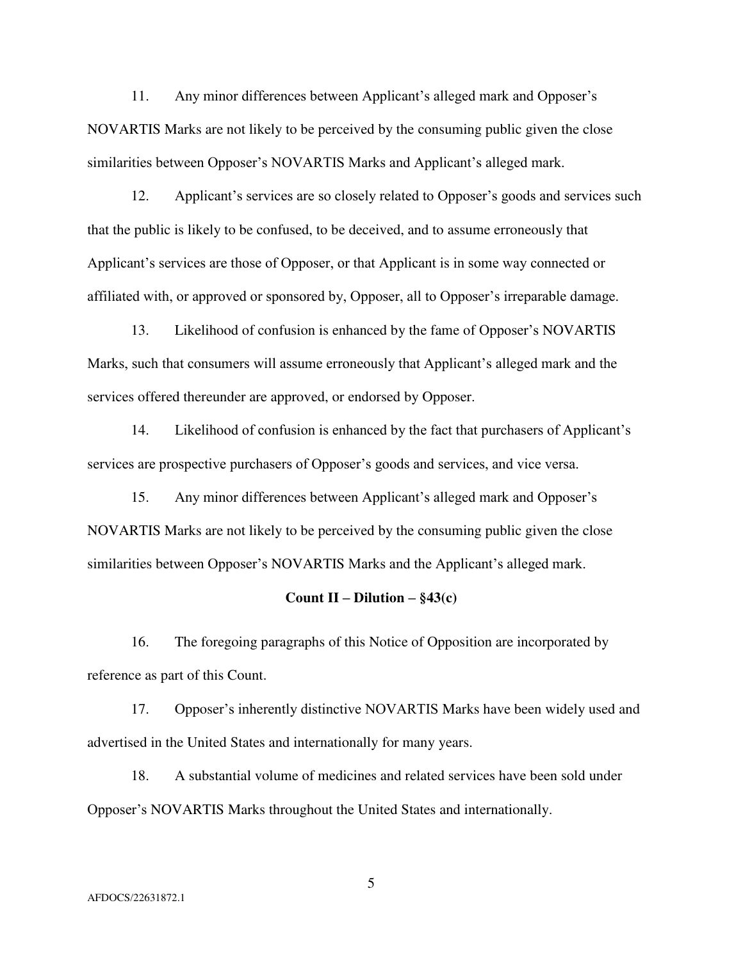11. Any minor differences between Applicant's alleged mark and Opposer's NOVARTIS Marks are not likely to be perceived by the consuming public given the close similarities between Opposer's NOVARTIS Marks and Applicant's alleged mark.

12. Applicant's services are so closely related to Opposer's goods and services such that the public is likely to be confused, to be deceived, and to assume erroneously that Applicant's services are those of Opposer, or that Applicant is in some way connected or affiliated with, or approved or sponsored by, Opposer, all to Opposer's irreparable damage.

13. Likelihood of confusion is enhanced by the fame of Opposer's NOVARTIS Marks, such that consumers will assume erroneously that Applicant's alleged mark and the services offered thereunder are approved, or endorsed by Opposer.

14. Likelihood of confusion is enhanced by the fact that purchasers of Applicant's services are prospective purchasers of Opposer's goods and services, and vice versa.

15. Any minor differences between Applicant's alleged mark and Opposer's NOVARTIS Marks are not likely to be perceived by the consuming public given the close similarities between Opposer's NOVARTIS Marks and the Applicant's alleged mark.

#### **Count II – Dilution –**  $\S 43(c)$

16. The foregoing paragraphs of this Notice of Opposition are incorporated by reference as part of this Count.

17. Opposer's inherently distinctive NOVARTIS Marks have been widely used and advertised in the United States and internationally for many years.

18. A substantial volume of medicines and related services have been sold under Opposer's NOVARTIS Marks throughout the United States and internationally.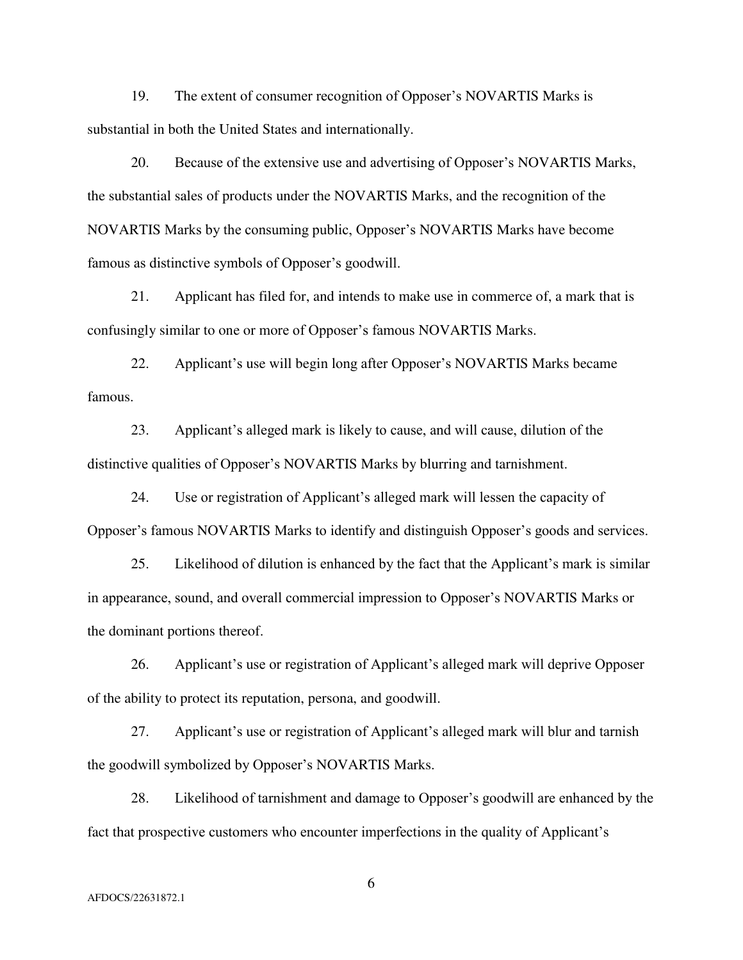19. The extent of consumer recognition of Opposer's NOVARTIS Marks is substantial in both the United States and internationally.

20. Because of the extensive use and advertising of Opposer's NOVARTIS Marks, the substantial sales of products under the NOVARTIS Marks, and the recognition of the NOVARTIS Marks by the consuming public, Opposer's NOVARTIS Marks have become famous as distinctive symbols of Opposer's goodwill.

21. Applicant has filed for, and intends to make use in commerce of, a mark that is confusingly similar to one or more of Opposer's famous NOVARTIS Marks.

22. Applicant's use will begin long after Opposer's NOVARTIS Marks became famous.

23. Applicant's alleged mark is likely to cause, and will cause, dilution of the distinctive qualities of Opposer's NOVARTIS Marks by blurring and tarnishment.

24. Use or registration of Applicant's alleged mark will lessen the capacity of Opposer's famous NOVARTIS Marks to identify and distinguish Opposer's goods and services.

25. Likelihood of dilution is enhanced by the fact that the Applicant's mark is similar in appearance, sound, and overall commercial impression to Opposer's NOVARTIS Marks or the dominant portions thereof.

26. Applicant's use or registration of Applicant's alleged mark will deprive Opposer of the ability to protect its reputation, persona, and goodwill.

27. Applicant's use or registration of Applicant's alleged mark will blur and tarnish the goodwill symbolized by Opposer's NOVARTIS Marks.

28. Likelihood of tarnishment and damage to Opposer's goodwill are enhanced by the fact that prospective customers who encounter imperfections in the quality of Applicant's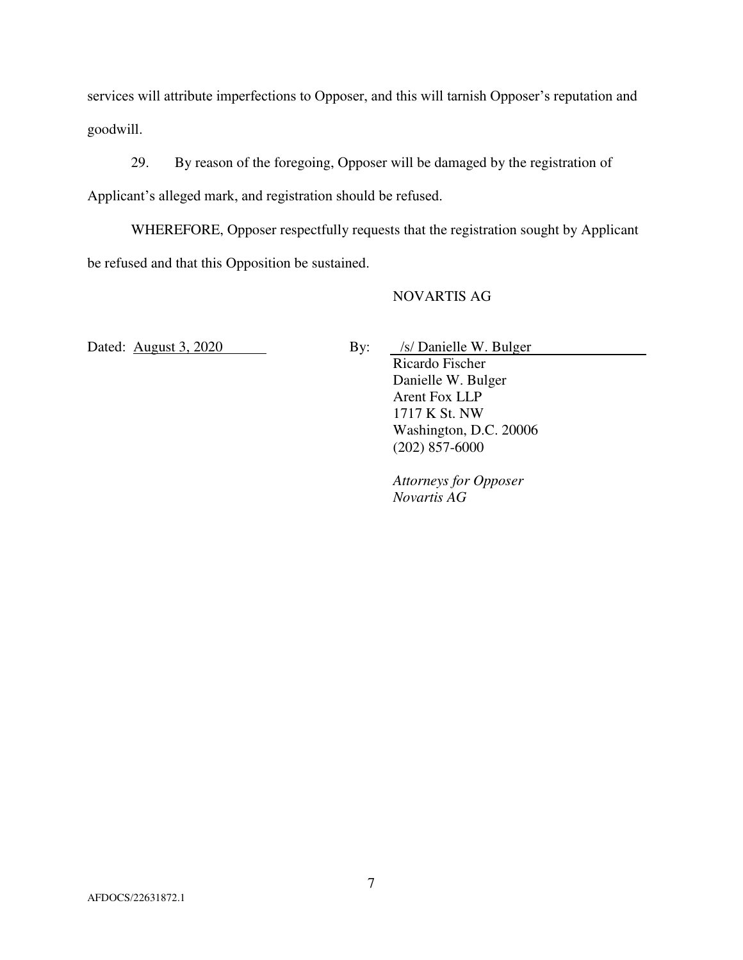services will attribute imperfections to Opposer, and this will tarnish Opposer's reputation and goodwill.

29. By reason of the foregoing, Opposer will be damaged by the registration of Applicant's alleged mark, and registration should be refused.

WHEREFORE, Opposer respectfully requests that the registration sought by Applicant be refused and that this Opposition be sustained.

#### NOVARTIS AG

Dated: August 3, 2020 By: *Is/* Danielle W. Bulger

 Ricardo Fischer Danielle W. Bulger Arent Fox LLP 1717 K St. NW Washington, D.C. 20006 (202) 857-6000

 *Attorneys for Opposer Novartis AG*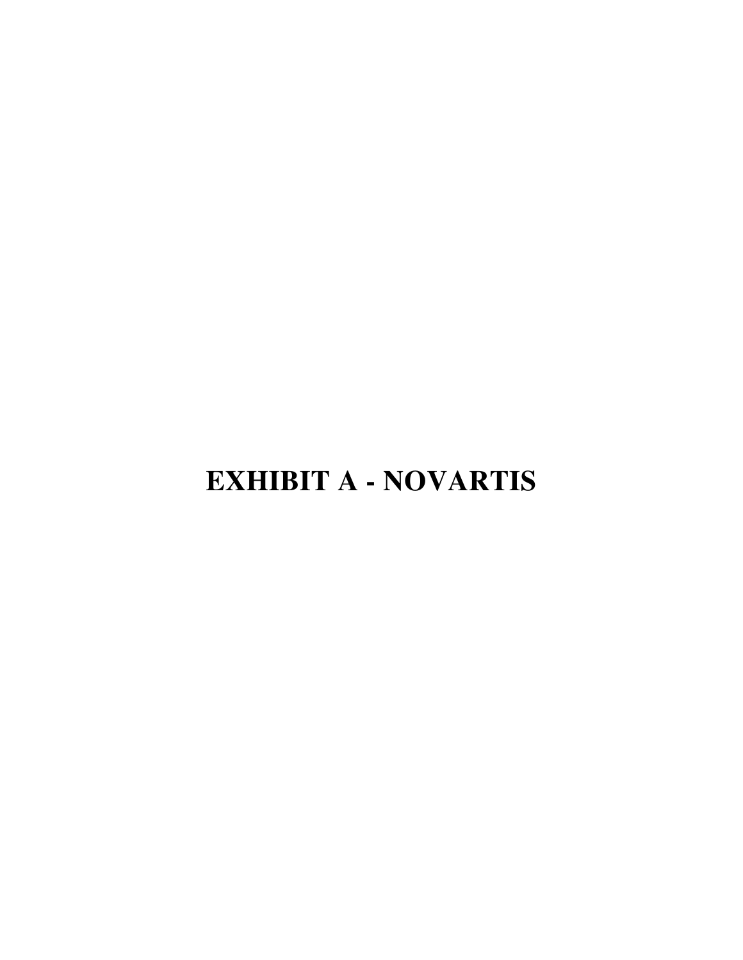# **EXHIBIT A - NOVARTIS**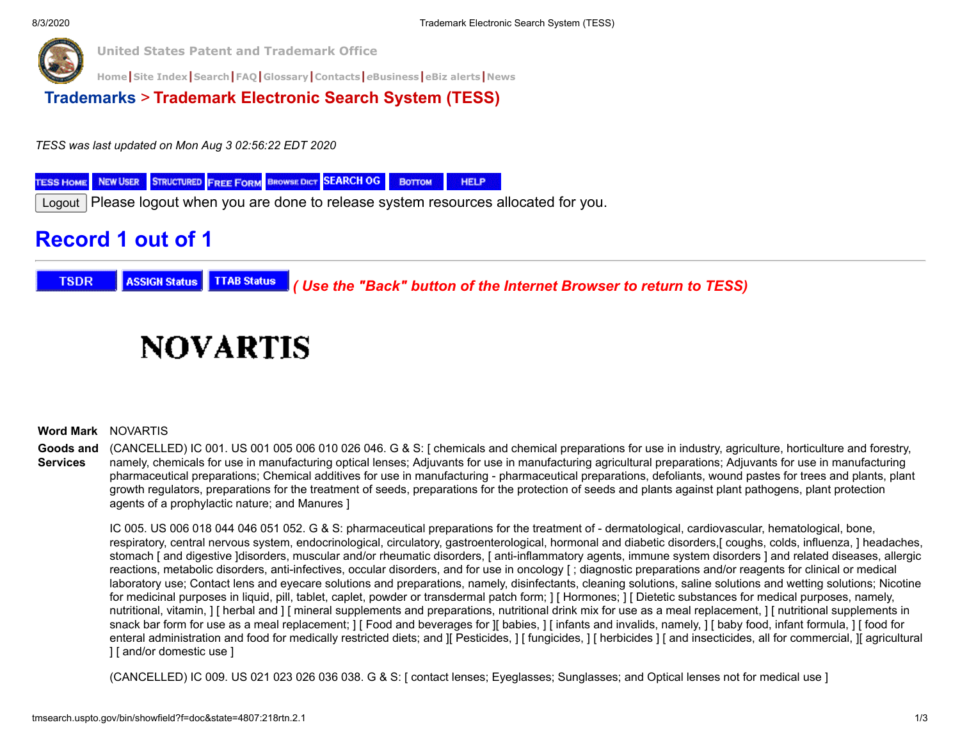

**[Home](https://www.uspto.gov/)|[Site Index](https://www.uspto.gov/sitemap)|[Search](https://search.uspto.gov/search?utf8=%E2%9C%93&affiliate=web-sdmg-uspto.gov&sort_by=&query=uspto+search)|[FAQ](https://www.uspto.gov/learning-and-resources/general-faqs)|[Glossary](https://www.uspto.gov/learning-and-resources/glossary)|[Contacts](https://www.uspto.gov/about-us/contact-us)|***e***[Business](https://www.uspto.gov/learning-and-resources/support-centers/patent-electronic-business-center)|[eBiz alerts](https://www.uspto.gov/blog/ebiz/)|[News](https://www.uspto.gov/about-us/news-updates)**

**[Trademarks](http://www.uspto.gov/main/trademarks.htm)** > **Trademark Electronic Search System (TESS)**

*TESS was last updated on Mon Aug 3 02:56:22 EDT 2020*

**STRUCTURED FREE FORM BROWSE DICT SEARCH OG NEW USER** Воттом **HELP TESS HOME** 

Logout Please logout when you are done to release system resources allocated for you.

# **Record 1 out of 1**

**TSDR ASSIGN Status TTAB Status**  *( Use the "Back" button of the Internet Browser to return to TESS)*

# **NOVARTIS**

#### **Word Mark** NOVARTIS

**Goods and Services** (CANCELLED) IC 001. US 001 005 006 010 026 046. G & S: [ chemicals and chemical preparations for use in industry, agriculture, horticulture and forestry, namely, chemicals for use in manufacturing optical lenses; Adjuvants for use in manufacturing agricultural preparations; Adjuvants for use in manufacturing pharmaceutical preparations; Chemical additives for use in manufacturing - pharmaceutical preparations, defoliants, wound pastes for trees and plants, plant growth regulators, preparations for the treatment of seeds, preparations for the protection of seeds and plants against plant pathogens, plant protection agents of a prophylactic nature; and Manures ]

IC 005. US 006 018 044 046 051 052. G & S: pharmaceutical preparations for the treatment of - dermatological, cardiovascular, hematological, bone, respiratory, central nervous system, endocrinological, circulatory, gastroenterological, hormonal and diabetic disorders,[ coughs, colds, influenza, ] headaches, stomach [ and digestive ]disorders, muscular and/or rheumatic disorders, [ anti-inflammatory agents, immune system disorders ] and related diseases, allergic reactions, metabolic disorders, anti-infectives, occular disorders, and for use in oncology [ ; diagnostic preparations and/or reagents for clinical or medical laboratory use; Contact lens and eyecare solutions and preparations, namely, disinfectants, cleaning solutions, saline solutions and wetting solutions; Nicotine for medicinal purposes in liquid, pill, tablet, caplet, powder or transdermal patch form;  $\vert\vert$  Hormones;  $\vert\vert$  Dietetic substances for medical purposes, namely, nutritional, vitamin,  $\lceil$  herbal and  $\lceil$  mineral supplements and preparations, nutritional drink mix for use as a meal replacement,  $\lceil$  nutritional supplements in snack bar form for use as a meal replacement;  $|\int$  Food and beverages for  $\int$  babies,  $|\int$  infants and invalids, namely,  $|\int$  baby food, infant formula,  $|\int$  food for enteral administration and food for medically restricted diets; and [[ Pesticides, ] [ fungicides, ] [ herbicides ] [ and insecticides, all for commercial, [[ agricultural ] [ and/or domestic use ]

(CANCELLED) IC 009. US 021 023 026 036 038. G & S: [ contact lenses; Eyeglasses; Sunglasses; and Optical lenses not for medical use ]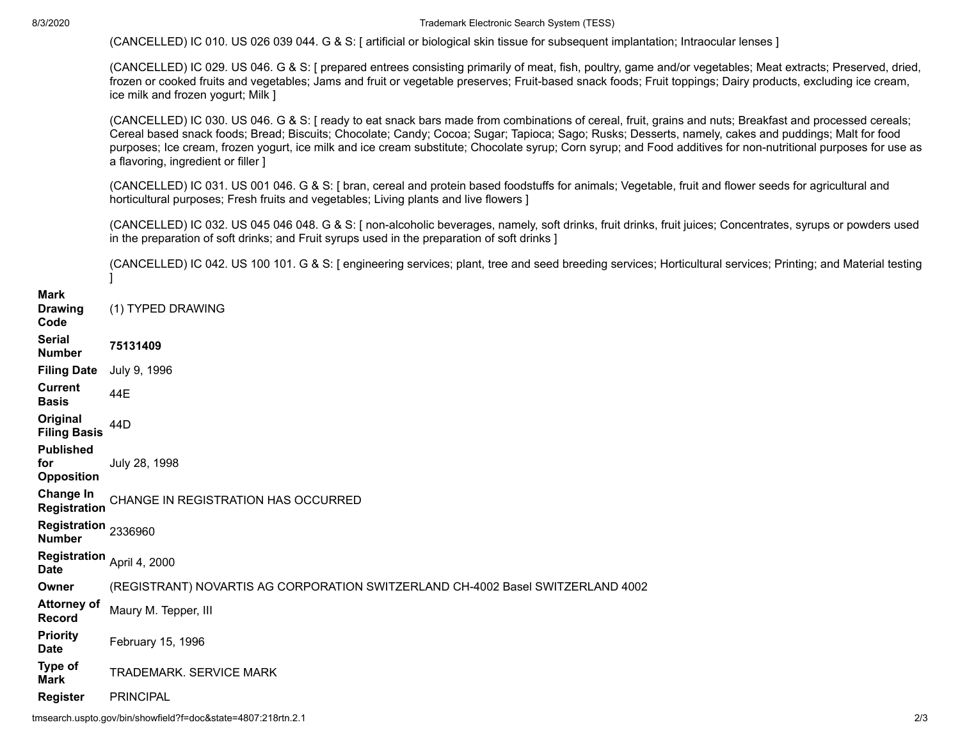8/3/2020 Trademark Electronic Search System (TESS)

|                                              | (CANCELLED) IC 010. US 026 039 044. G & S: [ artificial or biological skin tissue for subsequent implantation; Intraocular lenses ]                                                                                                                                                                                                                                                                                                                                                                                      |
|----------------------------------------------|--------------------------------------------------------------------------------------------------------------------------------------------------------------------------------------------------------------------------------------------------------------------------------------------------------------------------------------------------------------------------------------------------------------------------------------------------------------------------------------------------------------------------|
|                                              | (CANCELLED) IC 029. US 046. G & S: [ prepared entrees consisting primarily of meat, fish, poultry, game and/or vegetables; Meat extracts; Preserved, dried,<br>frozen or cooked fruits and vegetables; Jams and fruit or vegetable preserves; Fruit-based snack foods; Fruit toppings; Dairy products, excluding ice cream,<br>ice milk and frozen yogurt; Milk ]                                                                                                                                                        |
|                                              | (CANCELLED) IC 030. US 046. G & S: [ ready to eat snack bars made from combinations of cereal, fruit, grains and nuts; Breakfast and processed cereals;<br>Cereal based snack foods; Bread; Biscuits; Chocolate; Candy; Cocoa; Sugar; Tapioca; Sago; Rusks; Desserts, namely, cakes and puddings; Malt for food<br>purposes; Ice cream, frozen yogurt, ice milk and ice cream substitute; Chocolate syrup; Corn syrup; and Food additives for non-nutritional purposes for use as<br>a flavoring, ingredient or filler ] |
|                                              | (CANCELLED) IC 031. US 001 046. G & S: [ bran, cereal and protein based foodstuffs for animals; Vegetable, fruit and flower seeds for agricultural and<br>horticultural purposes; Fresh fruits and vegetables; Living plants and live flowers ]                                                                                                                                                                                                                                                                          |
|                                              | (CANCELLED) IC 032. US 045 046 048. G & S: [ non-alcoholic beverages, namely, soft drinks, fruit drinks, fruit juices; Concentrates, syrups or powders used<br>in the preparation of soft drinks; and Fruit syrups used in the preparation of soft drinks ]                                                                                                                                                                                                                                                              |
|                                              | (CANCELLED) IC 042. US 100 101. G & S: [ engineering services; plant, tree and seed breeding services; Horticultural services; Printing; and Material testing                                                                                                                                                                                                                                                                                                                                                            |
| Mark<br><b>Drawing</b><br>Code               | (1) TYPED DRAWING                                                                                                                                                                                                                                                                                                                                                                                                                                                                                                        |
| <b>Serial</b><br><b>Number</b>               | 75131409                                                                                                                                                                                                                                                                                                                                                                                                                                                                                                                 |
| <b>Filing Date</b>                           | July 9, 1996                                                                                                                                                                                                                                                                                                                                                                                                                                                                                                             |
| <b>Current</b><br><b>Basis</b>               | 44E                                                                                                                                                                                                                                                                                                                                                                                                                                                                                                                      |
| Original<br><b>Filing Basis</b>              | 44 <sub>D</sub>                                                                                                                                                                                                                                                                                                                                                                                                                                                                                                          |
| <b>Published</b><br>for<br><b>Opposition</b> | July 28, 1998                                                                                                                                                                                                                                                                                                                                                                                                                                                                                                            |
| Change In<br><b>Registration</b>             | CHANGE IN REGISTRATION HAS OCCURRED                                                                                                                                                                                                                                                                                                                                                                                                                                                                                      |
| Registration 2336960<br><b>Number</b>        |                                                                                                                                                                                                                                                                                                                                                                                                                                                                                                                          |
| Registration April 4, 2000<br><b>Date</b>    |                                                                                                                                                                                                                                                                                                                                                                                                                                                                                                                          |
| Owner                                        | (REGISTRANT) NOVARTIS AG CORPORATION SWITZERLAND CH-4002 Basel SWITZERLAND 4002                                                                                                                                                                                                                                                                                                                                                                                                                                          |
| <b>Attorney of</b><br><b>Record</b>          | Maury M. Tepper, III                                                                                                                                                                                                                                                                                                                                                                                                                                                                                                     |
| <b>Priority</b><br><b>Date</b>               | February 15, 1996                                                                                                                                                                                                                                                                                                                                                                                                                                                                                                        |
| Type of<br><b>Mark</b>                       | TRADEMARK. SERVICE MARK                                                                                                                                                                                                                                                                                                                                                                                                                                                                                                  |
| <b>Register</b>                              | <b>PRINCIPAL</b>                                                                                                                                                                                                                                                                                                                                                                                                                                                                                                         |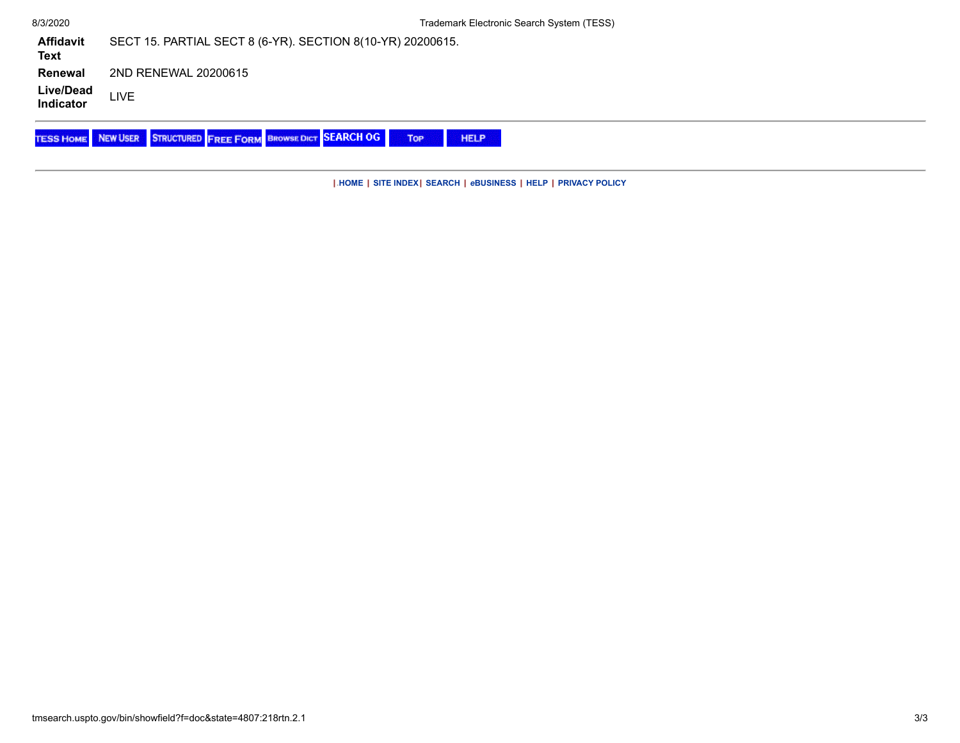| 8/3/2020                 | Trademark Electronic Search System (TESS)                                                         |
|--------------------------|---------------------------------------------------------------------------------------------------|
| <b>Affidavit</b><br>Text | SECT 15. PARTIAL SECT 8 (6-YR). SECTION 8(10-YR) 20200615.                                        |
| Renewal                  | 2ND RENEWAL 20200615                                                                              |
| Live/Dead<br>Indicator   | LIVE                                                                                              |
|                          | <b>TESS HOME NEW USER STRUCTURED FREE FORM BROWSE DICT SEARCH OG</b><br><b>TOP</b><br><b>HELP</b> |

**|.[HOME](http://www.uspto.gov/) | [SITE INDEX](http://www.uspto.gov/web/navaids/siteindx.htm)| [SEARCH](http://www.uspto.gov/web/menu/search.html) |** *e***[BUSINESS](http://www.uspto.gov/ebc/indexebc.html) | [HELP](http://www.uspto.gov/web/menu/feedback.html) | [PRIVACY POLICY](http://www.uspto.gov/privact.jsp)**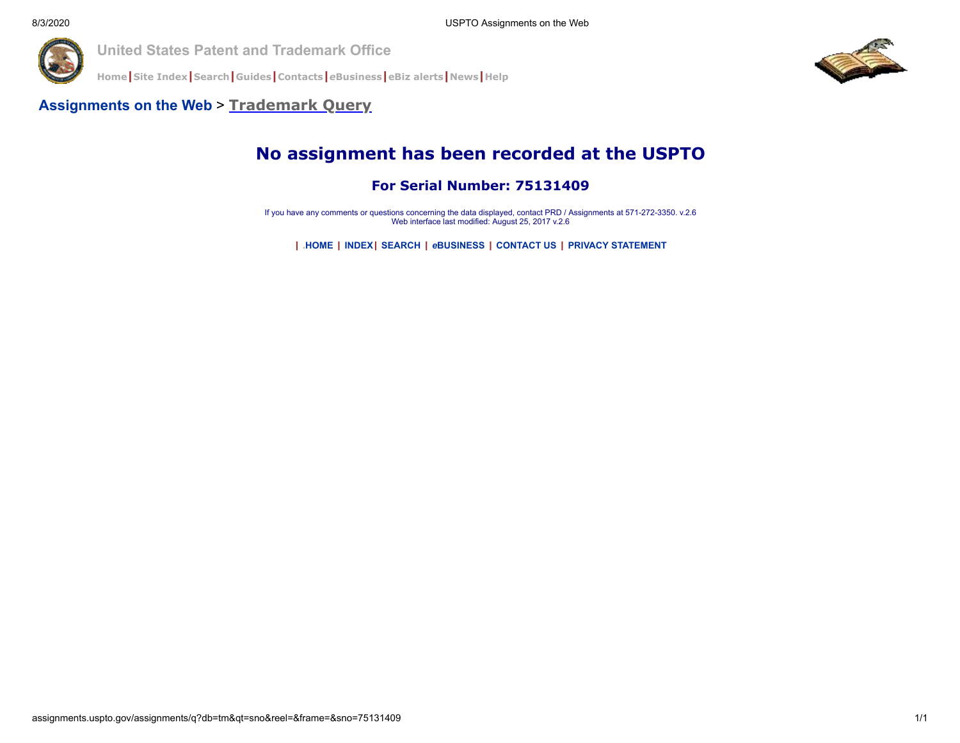

**[Home](http://www.uspto.gov/index.html)|[Site Index](http://www.uspto.gov/web/navaids/siteindx.htm)|[Search](http://www.uspto.gov/main/sitesearch.htm)|[Guides](http://www.uspto.gov/main/definitions.htm)|[Contacts](http://www.uspto.gov/main/contacts.htm)|***e***[Business](http://www.uspto.gov/ebc/indexebc.html)|[eBiz alerts](http://www.uspto.gov/helpdesk/status/status.htm)|[News](http://www.uspto.gov/main/newsandnotices.htm)|[Help](http://www.uspto.gov/web/menu/feedback.html)**



#### **[Assignments on the Web](http://assignments.uspto.gov/assignments/q)** > **[Trademark Query](http://assignments.uspto.gov/assignments/q?db=tm)**

# **No assignment has been recorded at the USPTO**

#### **For Serial Number: 75131409**

If you have any comments or questions concerning the data displayed, contact PRD / Assignments at 571-272-3350. v.2.6 Web interface last modified: August 25, 2017 v.2.6

**| .[HOME](http://www.uspto.gov/) | [INDEX](http://www.uspto.gov/web/navaids/siteindx.htm)| [SEARCH](http://www.uspto.gov/web/menu/search.html) |** *e***[BUSINESS](http://www.uspto.gov/ebc/indexebc.html) | [CONTACT US](http://www.uspto.gov/web/menu/feedback.html) | [PRIVACY STATEMENT](http://www.uspto.gov/web/doc/privact.htm)**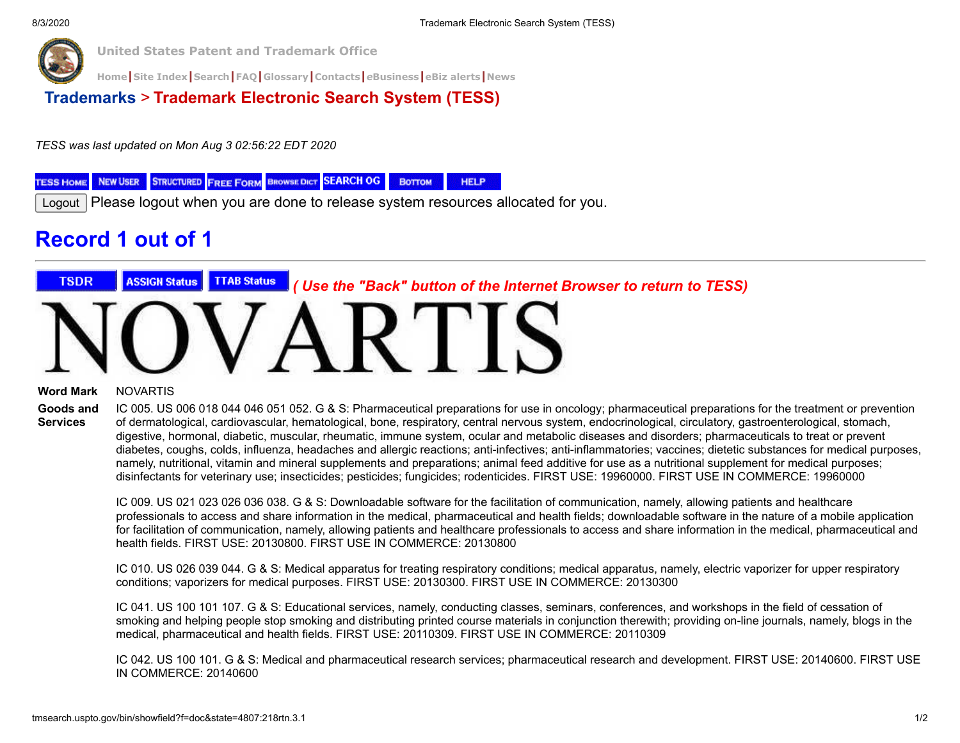

**[Home](https://www.uspto.gov/)|[Site Index](https://www.uspto.gov/sitemap)|[Search](https://search.uspto.gov/search?utf8=%E2%9C%93&affiliate=web-sdmg-uspto.gov&sort_by=&query=uspto+search)|[FAQ](https://www.uspto.gov/learning-and-resources/general-faqs)|[Glossary](https://www.uspto.gov/learning-and-resources/glossary)|[Contacts](https://www.uspto.gov/about-us/contact-us)|***e***[Business](https://www.uspto.gov/learning-and-resources/support-centers/patent-electronic-business-center)|[eBiz alerts](https://www.uspto.gov/blog/ebiz/)|[News](https://www.uspto.gov/about-us/news-updates)**

**[Trademarks](http://www.uspto.gov/main/trademarks.htm)** > **Trademark Electronic Search System (TESS)**

*TESS was last updated on Mon Aug 3 02:56:22 EDT 2020*

**STRUCTURED FREE FORM BROWSE DICT SEARCH OG NEW USER** Воттом **HELP TESS HOME** 

Logout Please logout when you are done to release system resources allocated for you.

# **Record 1 out of 1**



#### **Word Mark** NOVARTIS

**Goods and Services**

IC 005. US 006 018 044 046 051 052. G & S: Pharmaceutical preparations for use in oncology; pharmaceutical preparations for the treatment or prevention of dermatological, cardiovascular, hematological, bone, respiratory, central nervous system, endocrinological, circulatory, gastroenterological, stomach, digestive, hormonal, diabetic, muscular, rheumatic, immune system, ocular and metabolic diseases and disorders; pharmaceuticals to treat or prevent diabetes, coughs, colds, influenza, headaches and allergic reactions; anti-infectives; anti-inflammatories; vaccines; dietetic substances for medical purposes, namely, nutritional, vitamin and mineral supplements and preparations; animal feed additive for use as a nutritional supplement for medical purposes; disinfectants for veterinary use; insecticides; pesticides; fungicides; rodenticides. FIRST USE: 19960000. FIRST USE IN COMMERCE: 19960000

IC 009. US 021 023 026 036 038. G & S: Downloadable software for the facilitation of communication, namely, allowing patients and healthcare professionals to access and share information in the medical, pharmaceutical and health fields; downloadable software in the nature of a mobile application for facilitation of communication, namely, allowing patients and healthcare professionals to access and share information in the medical, pharmaceutical and health fields. FIRST USE: 20130800. FIRST USE IN COMMERCE: 20130800

IC 010. US 026 039 044. G & S: Medical apparatus for treating respiratory conditions; medical apparatus, namely, electric vaporizer for upper respiratory conditions; vaporizers for medical purposes. FIRST USE: 20130300. FIRST USE IN COMMERCE: 20130300

IC 041. US 100 101 107. G & S: Educational services, namely, conducting classes, seminars, conferences, and workshops in the field of cessation of smoking and helping people stop smoking and distributing printed course materials in conjunction therewith; providing on-line journals, namely, blogs in the medical, pharmaceutical and health fields. FIRST USE: 20110309. FIRST USE IN COMMERCE: 20110309

IC 042. US 100 101. G & S: Medical and pharmaceutical research services; pharmaceutical research and development. FIRST USE: 20140600. FIRST USE IN COMMERCE: 20140600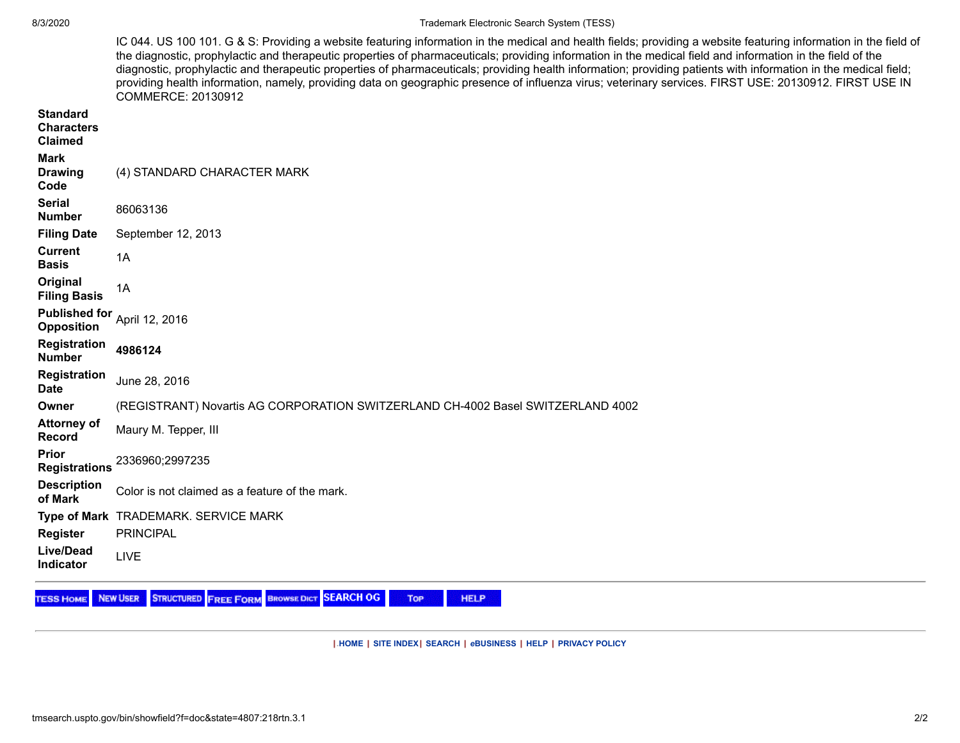#### 8/3/2020 Trademark Electronic Search System (TESS)

| IC 044. US 100 101. G & S: Providing a website featuring information in the medical and health fields; providing a website featuring information in the field of |
|------------------------------------------------------------------------------------------------------------------------------------------------------------------|
| the diagnostic, prophylactic and therapeutic properties of pharmaceuticals; providing information in the medical field and information in the field of the       |
| diagnostic, prophylactic and therapeutic properties of pharmaceuticals; providing health information; providing patients with information in the medical field;  |
| providing health information, namely, providing data on geographic presence of influenza virus; veterinary services. FIRST USE: 20130912. FIRST USE IN           |
| COMMERCE: 20130912                                                                                                                                               |

| <b>Standard</b><br><b>Characters</b><br><b>Claimed</b> |                                                                                 |
|--------------------------------------------------------|---------------------------------------------------------------------------------|
| <b>Mark</b><br><b>Drawing</b><br>Code                  | (4) STANDARD CHARACTER MARK                                                     |
| <b>Serial</b><br><b>Number</b>                         | 86063136                                                                        |
| <b>Filing Date</b>                                     | September 12, 2013                                                              |
| <b>Current</b><br><b>Basis</b>                         | 1A                                                                              |
| Original<br><b>Filing Basis</b>                        | 1A                                                                              |
| <b>Published for</b><br><b>Opposition</b>              | April 12, 2016                                                                  |
| <b>Registration</b><br><b>Number</b>                   | 4986124                                                                         |
| <b>Registration</b><br><b>Date</b>                     | June 28, 2016                                                                   |
| Owner                                                  | (REGISTRANT) Novartis AG CORPORATION SWITZERLAND CH-4002 Basel SWITZERLAND 4002 |
| <b>Attorney of</b><br><b>Record</b>                    | Maury M. Tepper, III                                                            |
| <b>Prior</b><br><b>Registrations</b>                   | 2336960;2997235                                                                 |
| <b>Description</b><br>of Mark                          | Color is not claimed as a feature of the mark.                                  |
|                                                        | Type of Mark TRADEMARK. SERVICE MARK                                            |
| <b>Register</b>                                        | <b>PRINCIPAL</b>                                                                |
| Live/Dead<br>Indicator                                 | LIVE                                                                            |

TESS HOME NEW USER STRUCTURED FREE FORM BROWSE DICT SEARCH OG Top

**HELP** 

**|.[HOME](http://www.uspto.gov/) | [SITE INDEX](http://www.uspto.gov/web/navaids/siteindx.htm)| [SEARCH](http://www.uspto.gov/web/menu/search.html) |** *e***[BUSINESS](http://www.uspto.gov/ebc/indexebc.html) | [HELP](http://www.uspto.gov/web/menu/feedback.html) | [PRIVACY POLICY](http://www.uspto.gov/privact.jsp)**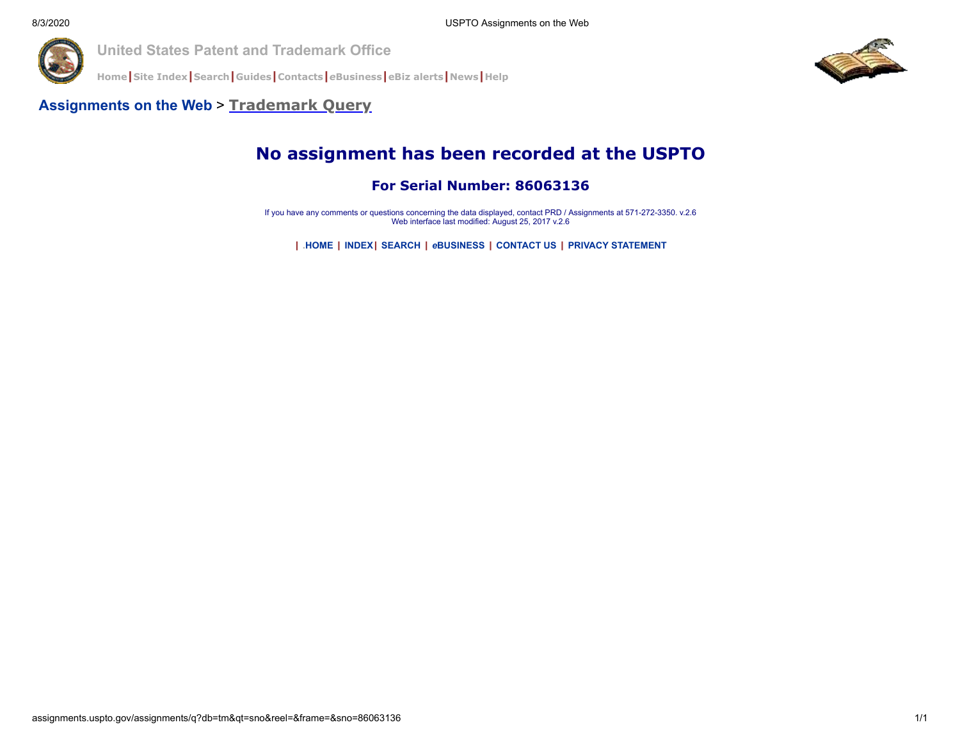

**[Home](http://www.uspto.gov/index.html)|[Site Index](http://www.uspto.gov/web/navaids/siteindx.htm)|[Search](http://www.uspto.gov/main/sitesearch.htm)|[Guides](http://www.uspto.gov/main/definitions.htm)|[Contacts](http://www.uspto.gov/main/contacts.htm)|***e***[Business](http://www.uspto.gov/ebc/indexebc.html)|[eBiz alerts](http://www.uspto.gov/helpdesk/status/status.htm)|[News](http://www.uspto.gov/main/newsandnotices.htm)|[Help](http://www.uspto.gov/web/menu/feedback.html)**



#### **[Assignments on the Web](http://assignments.uspto.gov/assignments/q)** > **[Trademark Query](http://assignments.uspto.gov/assignments/q?db=tm)**

# **No assignment has been recorded at the USPTO**

**For Serial Number: 86063136**

If you have any comments or questions concerning the data displayed, contact PRD / Assignments at 571-272-3350. v.2.6 Web interface last modified: August 25, 2017 v.2.6

**| .[HOME](http://www.uspto.gov/) | [INDEX](http://www.uspto.gov/web/navaids/siteindx.htm)| [SEARCH](http://www.uspto.gov/web/menu/search.html) |** *e***[BUSINESS](http://www.uspto.gov/ebc/indexebc.html) | [CONTACT US](http://www.uspto.gov/web/menu/feedback.html) | [PRIVACY STATEMENT](http://www.uspto.gov/web/doc/privact.htm)**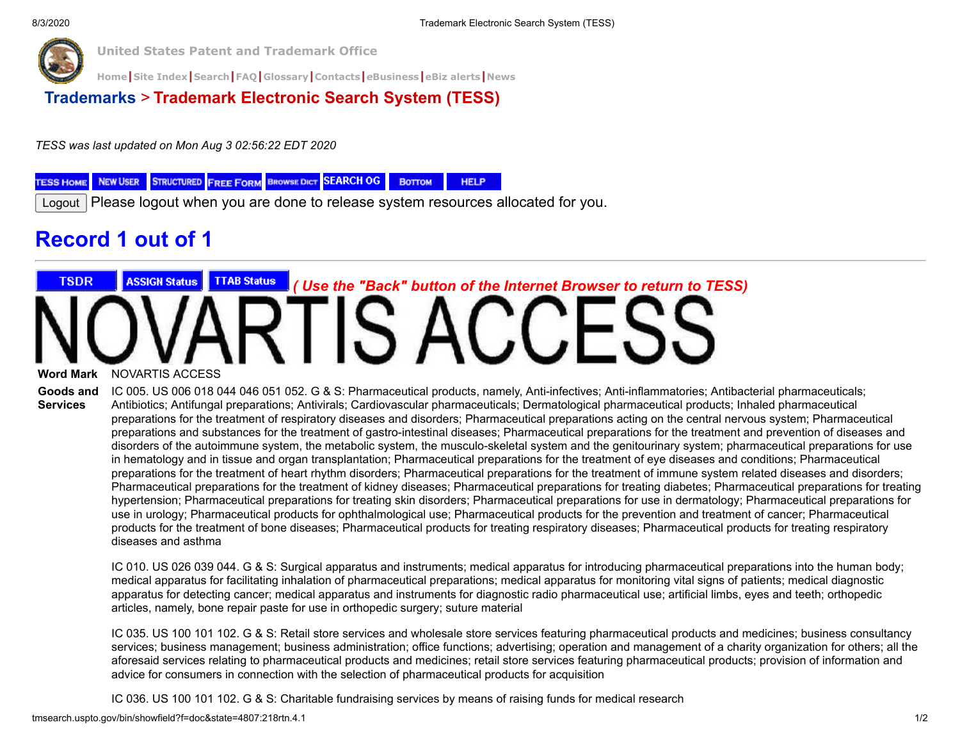

**[Home](https://www.uspto.gov/)|[Site Index](https://www.uspto.gov/sitemap)|[Search](https://search.uspto.gov/search?utf8=%E2%9C%93&affiliate=web-sdmg-uspto.gov&sort_by=&query=uspto+search)|[FAQ](https://www.uspto.gov/learning-and-resources/general-faqs)|[Glossary](https://www.uspto.gov/learning-and-resources/glossary)|[Contacts](https://www.uspto.gov/about-us/contact-us)|***e***[Business](https://www.uspto.gov/learning-and-resources/support-centers/patent-electronic-business-center)|[eBiz alerts](https://www.uspto.gov/blog/ebiz/)|[News](https://www.uspto.gov/about-us/news-updates)**

**[Trademarks](http://www.uspto.gov/main/trademarks.htm)** > **Trademark Electronic Search System (TESS)**

*TESS was last updated on Mon Aug 3 02:56:22 EDT 2020*

**STRUCTURED FREE FORM BROWSE DICT SEARCH OG NEW USER** Воттом **HELP TESS HOME** 

Logout Please logout when you are done to release system resources allocated for you.

# **Record 1 out of 1**

# **TSDR ASSIGN Status TTAB Status**  *( Use the "Back" button of the Internet Browser to return to TESS)* **FIS ACCES**

**Word Mark** NOVARTIS ACCESS

**Goods and Services** IC 005. US 006 018 044 046 051 052. G & S: Pharmaceutical products, namely, Anti-infectives; Anti-inflammatories; Antibacterial pharmaceuticals; Antibiotics; Antifungal preparations; Antivirals; Cardiovascular pharmaceuticals; Dermatological pharmaceutical products; Inhaled pharmaceutical preparations for the treatment of respiratory diseases and disorders; Pharmaceutical preparations acting on the central nervous system; Pharmaceutical preparations and substances for the treatment of gastro-intestinal diseases; Pharmaceutical preparations for the treatment and prevention of diseases and disorders of the autoimmune system, the metabolic system, the musculo-skeletal system and the genitourinary system; pharmaceutical preparations for use in hematology and in tissue and organ transplantation; Pharmaceutical preparations for the treatment of eye diseases and conditions; Pharmaceutical preparations for the treatment of heart rhythm disorders; Pharmaceutical preparations for the treatment of immune system related diseases and disorders; Pharmaceutical preparations for the treatment of kidney diseases; Pharmaceutical preparations for treating diabetes; Pharmaceutical preparations for treating hypertension; Pharmaceutical preparations for treating skin disorders; Pharmaceutical preparations for use in dermatology; Pharmaceutical preparations for use in urology; Pharmaceutical products for ophthalmological use; Pharmaceutical products for the prevention and treatment of cancer; Pharmaceutical products for the treatment of bone diseases; Pharmaceutical products for treating respiratory diseases; Pharmaceutical products for treating respiratory diseases and asthma

IC 010. US 026 039 044. G & S: Surgical apparatus and instruments; medical apparatus for introducing pharmaceutical preparations into the human body; medical apparatus for facilitating inhalation of pharmaceutical preparations; medical apparatus for monitoring vital signs of patients; medical diagnostic apparatus for detecting cancer; medical apparatus and instruments for diagnostic radio pharmaceutical use; artificial limbs, eyes and teeth; orthopedic articles, namely, bone repair paste for use in orthopedic surgery; suture material

IC 035. US 100 101 102. G & S: Retail store services and wholesale store services featuring pharmaceutical products and medicines; business consultancy services; business management; business administration; office functions; advertising; operation and management of a charity organization for others; all the aforesaid services relating to pharmaceutical products and medicines; retail store services featuring pharmaceutical products; provision of information and advice for consumers in connection with the selection of pharmaceutical products for acquisition

IC 036. US 100 101 102. G & S: Charitable fundraising services by means of raising funds for medical research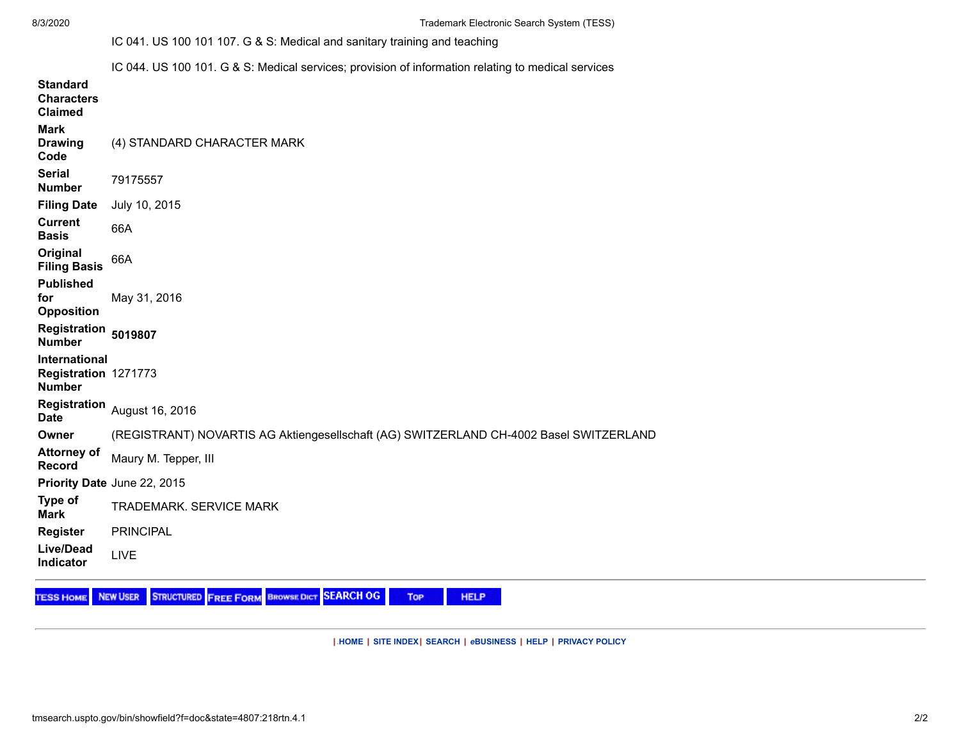8/3/2020 Trademark Electronic Search System (TESS)

IC 041. US 100 101 107. G & S: Medical and sanitary training and teaching

IC 044. US 100 101. G & S: Medical services; provision of information relating to medical services

| <b>Standard</b><br><b>Characters</b><br><b>Claimed</b> |                                                                                        |
|--------------------------------------------------------|----------------------------------------------------------------------------------------|
| <b>Mark</b><br><b>Drawing</b><br>Code                  | (4) STANDARD CHARACTER MARK                                                            |
| <b>Serial</b><br><b>Number</b>                         | 79175557                                                                               |
| <b>Filing Date</b>                                     | July 10, 2015                                                                          |
| <b>Current</b><br><b>Basis</b>                         | 66A                                                                                    |
| Original<br><b>Filing Basis</b>                        | 66A                                                                                    |
| <b>Published</b><br>for<br><b>Opposition</b>           | May 31, 2016                                                                           |
| Registration 5019807<br><b>Number</b>                  |                                                                                        |
| International<br>Registration 1271773<br><b>Number</b> |                                                                                        |
| <b>Date</b>                                            | Registration August 16, 2016                                                           |
| Owner                                                  | (REGISTRANT) NOVARTIS AG Aktiengesellschaft (AG) SWITZERLAND CH-4002 Basel SWITZERLAND |
| <b>Attorney of</b><br>Record                           | Maury M. Tepper, III                                                                   |
|                                                        | Priority Date June 22, 2015                                                            |
| Type of<br><b>Mark</b>                                 | <b>TRADEMARK. SERVICE MARK</b>                                                         |
| <b>Register</b>                                        | <b>PRINCIPAL</b>                                                                       |
|                                                        |                                                                                        |

NEW USER STRUCTURED FREE FORM BROWSE DICT SEARCH OG **TESS HOME** Top

**|.[HOME](http://www.uspto.gov/) | [SITE INDEX](http://www.uspto.gov/web/navaids/siteindx.htm)| [SEARCH](http://www.uspto.gov/web/menu/search.html) |** *e***[BUSINESS](http://www.uspto.gov/ebc/indexebc.html) | [HELP](http://www.uspto.gov/web/menu/feedback.html) | [PRIVACY POLICY](http://www.uspto.gov/privact.jsp)**

**HELP**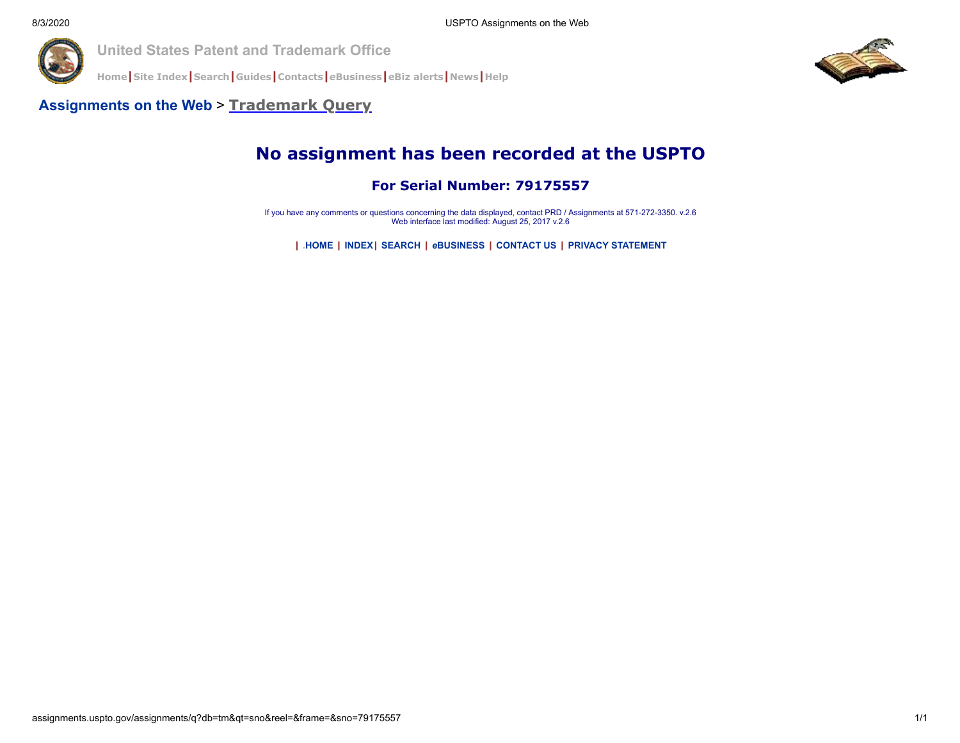

**[Home](http://www.uspto.gov/index.html)|[Site Index](http://www.uspto.gov/web/navaids/siteindx.htm)|[Search](http://www.uspto.gov/main/sitesearch.htm)|[Guides](http://www.uspto.gov/main/definitions.htm)|[Contacts](http://www.uspto.gov/main/contacts.htm)|***e***[Business](http://www.uspto.gov/ebc/indexebc.html)|[eBiz alerts](http://www.uspto.gov/helpdesk/status/status.htm)|[News](http://www.uspto.gov/main/newsandnotices.htm)|[Help](http://www.uspto.gov/web/menu/feedback.html)**



#### **[Assignments on the Web](http://assignments.uspto.gov/assignments/q)** > **[Trademark Query](http://assignments.uspto.gov/assignments/q?db=tm)**

# **No assignment has been recorded at the USPTO**

#### **For Serial Number: 79175557**

If you have any comments or questions concerning the data displayed, contact PRD / Assignments at 571-272-3350. v.2.6 Web interface last modified: August 25, 2017 v.2.6

**| .[HOME](http://www.uspto.gov/) | [INDEX](http://www.uspto.gov/web/navaids/siteindx.htm)| [SEARCH](http://www.uspto.gov/web/menu/search.html) |** *e***[BUSINESS](http://www.uspto.gov/ebc/indexebc.html) | [CONTACT US](http://www.uspto.gov/web/menu/feedback.html) | [PRIVACY STATEMENT](http://www.uspto.gov/web/doc/privact.htm)**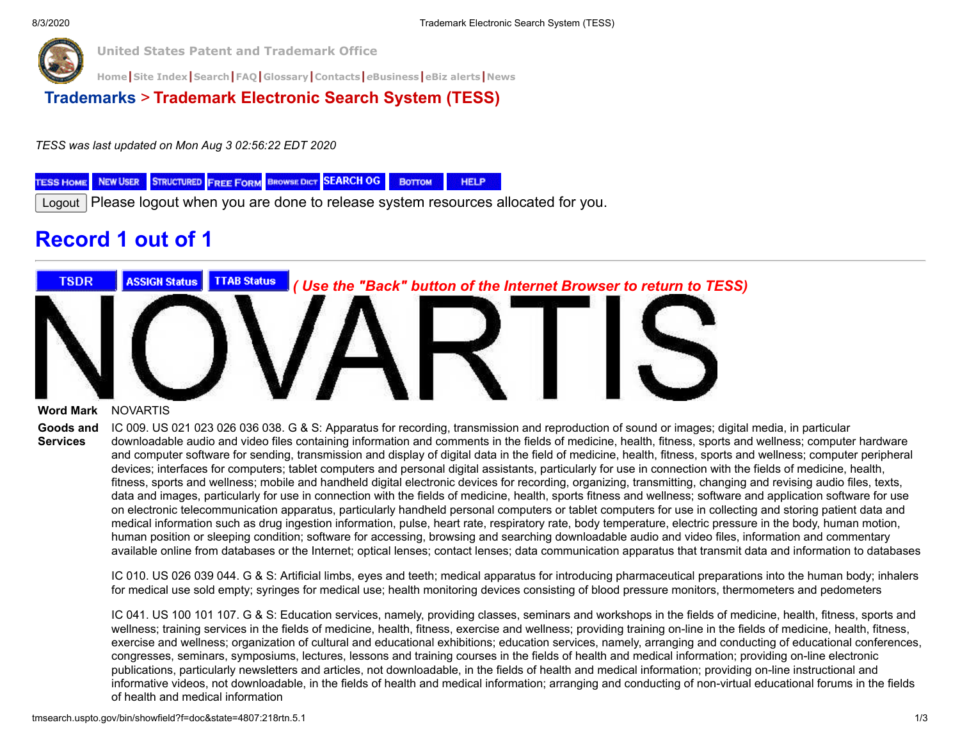

**[Home](https://www.uspto.gov/)|[Site Index](https://www.uspto.gov/sitemap)|[Search](https://search.uspto.gov/search?utf8=%E2%9C%93&affiliate=web-sdmg-uspto.gov&sort_by=&query=uspto+search)|[FAQ](https://www.uspto.gov/learning-and-resources/general-faqs)|[Glossary](https://www.uspto.gov/learning-and-resources/glossary)|[Contacts](https://www.uspto.gov/about-us/contact-us)|***e***[Business](https://www.uspto.gov/learning-and-resources/support-centers/patent-electronic-business-center)|[eBiz alerts](https://www.uspto.gov/blog/ebiz/)|[News](https://www.uspto.gov/about-us/news-updates)**

**[Trademarks](http://www.uspto.gov/main/trademarks.htm)** > **Trademark Electronic Search System (TESS)**

*TESS was last updated on Mon Aug 3 02:56:22 EDT 2020*

**STRUCTURED FREE FORM BROWSE DICT SEARCH OG NEW USER** Воттом **HELP TESS HOME** 

Logout Please logout when you are done to release system resources allocated for you.

# **Record 1 out of 1**



#### **Word Mark** NOVARTIS

**Goods and Services** IC 009. US 021 023 026 036 038. G & S: Apparatus for recording, transmission and reproduction of sound or images; digital media, in particular downloadable audio and video files containing information and comments in the fields of medicine, health, fitness, sports and wellness; computer hardware and computer software for sending, transmission and display of digital data in the field of medicine, health, fitness, sports and wellness; computer peripheral devices; interfaces for computers; tablet computers and personal digital assistants, particularly for use in connection with the fields of medicine, health, fitness, sports and wellness; mobile and handheld digital electronic devices for recording, organizing, transmitting, changing and revising audio files, texts, data and images, particularly for use in connection with the fields of medicine, health, sports fitness and wellness; software and application software for use on electronic telecommunication apparatus, particularly handheld personal computers or tablet computers for use in collecting and storing patient data and

medical information such as drug ingestion information, pulse, heart rate, respiratory rate, body temperature, electric pressure in the body, human motion, human position or sleeping condition; software for accessing, browsing and searching downloadable audio and video files, information and commentary available online from databases or the Internet; optical lenses; contact lenses; data communication apparatus that transmit data and information to databases

IC 010. US 026 039 044. G & S: Artificial limbs, eyes and teeth; medical apparatus for introducing pharmaceutical preparations into the human body; inhalers for medical use sold empty; syringes for medical use; health monitoring devices consisting of blood pressure monitors, thermometers and pedometers

IC 041. US 100 101 107. G & S: Education services, namely, providing classes, seminars and workshops in the fields of medicine, health, fitness, sports and wellness; training services in the fields of medicine, health, fitness, exercise and wellness; providing training on-line in the fields of medicine, health, fitness, exercise and wellness; organization of cultural and educational exhibitions; education services, namely, arranging and conducting of educational conferences, congresses, seminars, symposiums, lectures, lessons and training courses in the fields of health and medical information; providing on-line electronic publications, particularly newsletters and articles, not downloadable, in the fields of health and medical information; providing on-line instructional and informative videos, not downloadable, in the fields of health and medical information; arranging and conducting of non-virtual educational forums in the fields of health and medical information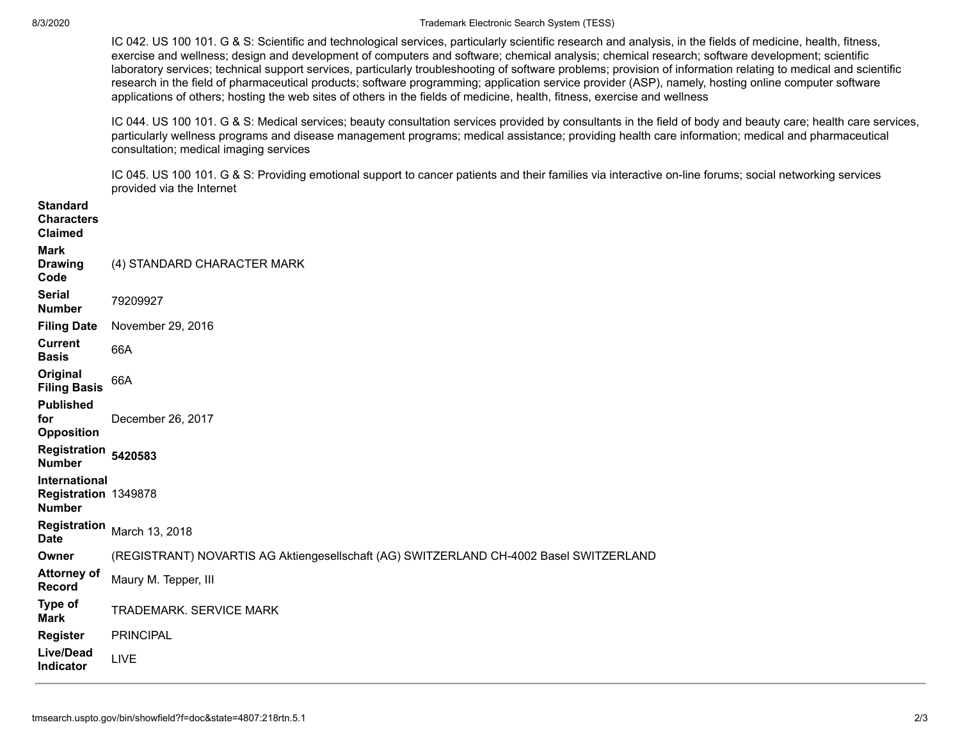#### 8/3/2020 Trademark Electronic Search System (TESS)

IC 042. US 100 101. G & S: Scientific and technological services, particularly scientific research and analysis, in the fields of medicine, health, fitness, exercise and wellness; design and development of computers and software; chemical analysis; chemical research; software development; scientific laboratory services; technical support services, particularly troubleshooting of software problems; provision of information relating to medical and scientific research in the field of pharmaceutical products; software programming; application service provider (ASP), namely, hosting online computer software applications of others; hosting the web sites of others in the fields of medicine, health, fitness, exercise and wellness

IC 044. US 100 101. G & S: Medical services; beauty consultation services provided by consultants in the field of body and beauty care; health care services, particularly wellness programs and disease management programs; medical assistance; providing health care information; medical and pharmaceutical consultation; medical imaging services

IC 045. US 100 101. G & S: Providing emotional support to cancer patients and their families via interactive on-line forums; social networking services provided via the Internet

| <b>Standard</b><br><b>Characters</b><br><b>Claimed</b> |                                                                                        |
|--------------------------------------------------------|----------------------------------------------------------------------------------------|
| <b>Mark</b><br><b>Drawing</b><br>Code                  | (4) STANDARD CHARACTER MARK                                                            |
| <b>Serial</b><br><b>Number</b>                         | 79209927                                                                               |
| <b>Filing Date</b>                                     | November 29, 2016                                                                      |
| <b>Current</b><br><b>Basis</b>                         | 66A                                                                                    |
| Original<br><b>Filing Basis</b>                        | 66A                                                                                    |
| <b>Published</b><br>for<br><b>Opposition</b>           | December 26, 2017                                                                      |
| Registration<br><b>Number</b>                          | 5420583                                                                                |
| International<br>Registration 1349878<br><b>Number</b> |                                                                                        |
| <b>Registration</b><br><b>Date</b>                     | March 13, 2018                                                                         |
| Owner                                                  | (REGISTRANT) NOVARTIS AG Aktiengesellschaft (AG) SWITZERLAND CH-4002 Basel SWITZERLAND |
| <b>Attorney of</b><br><b>Record</b>                    | Maury M. Tepper, III                                                                   |
| Type of<br><b>Mark</b>                                 | <b>TRADEMARK. SERVICE MARK</b>                                                         |
| <b>Register</b>                                        | <b>PRINCIPAL</b>                                                                       |
| <b>Live/Dead</b><br>Indicator                          | LIVE                                                                                   |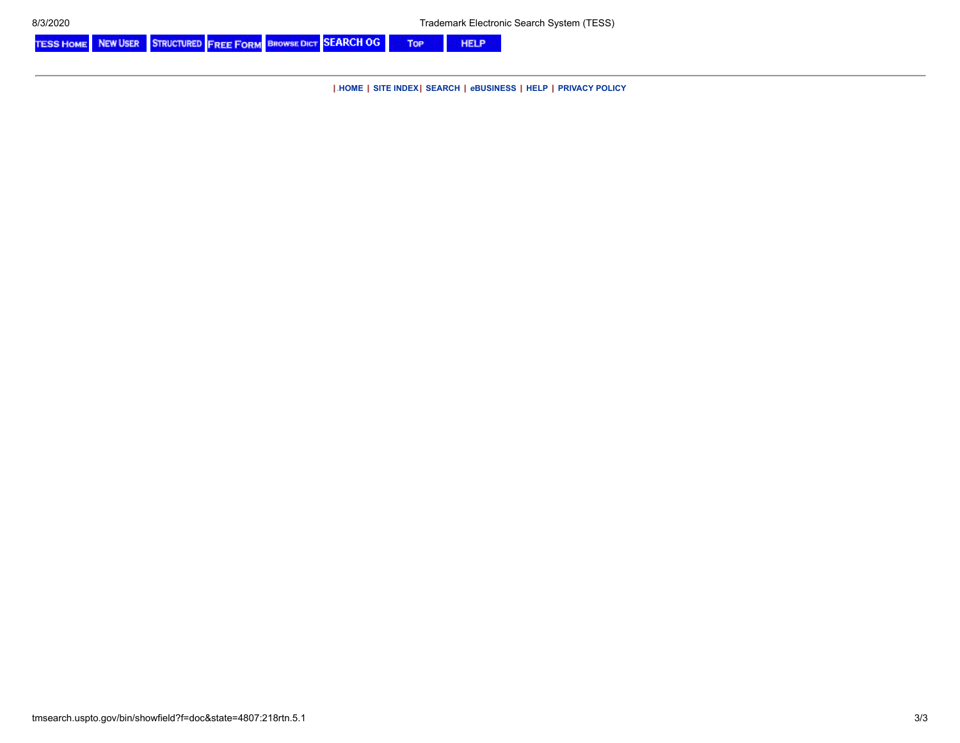STRUCTURED FREE FORM BROWSE DICT SEARCH OG **TESS HOME NEW USER** Top **HELP** 

**|.[HOME](http://www.uspto.gov/) | [SITE INDEX](http://www.uspto.gov/web/navaids/siteindx.htm)| [SEARCH](http://www.uspto.gov/web/menu/search.html) |** *e***[BUSINESS](http://www.uspto.gov/ebc/indexebc.html) | [HELP](http://www.uspto.gov/web/menu/feedback.html) | [PRIVACY POLICY](http://www.uspto.gov/privact.jsp)**